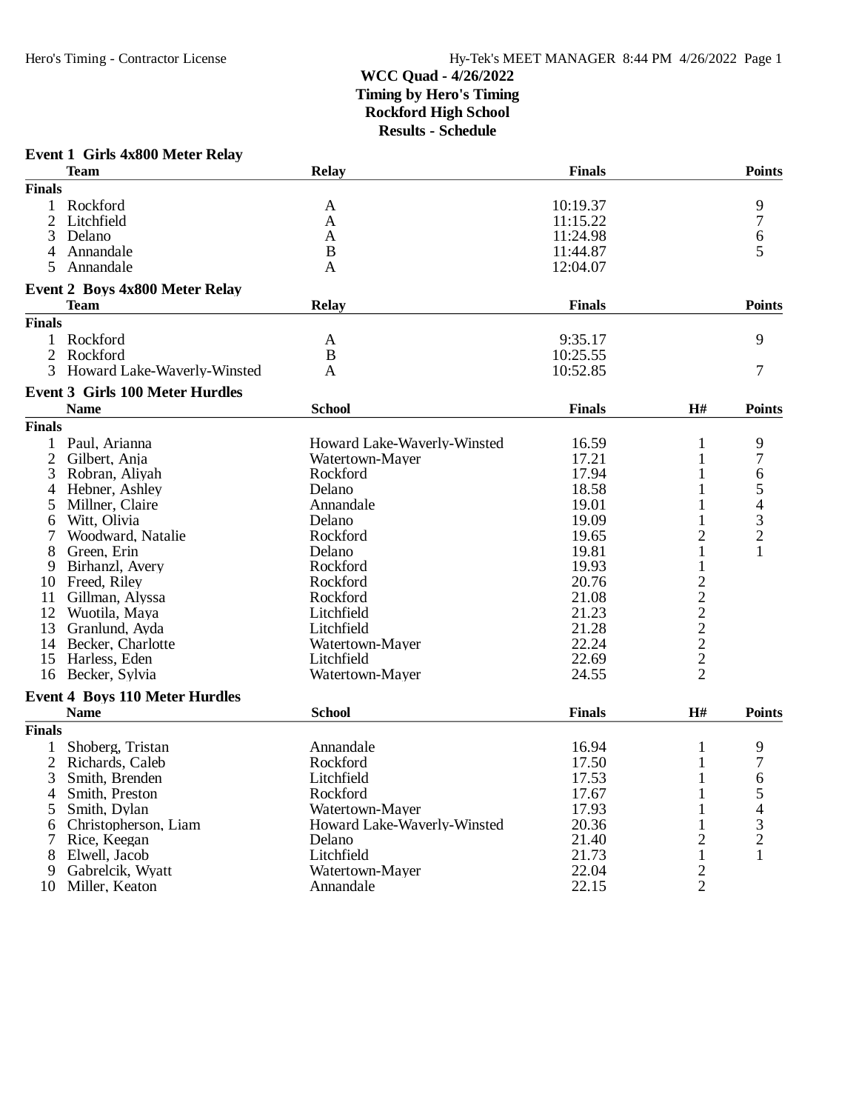# **Event 1 Girls 4x800 Meter Relay**

|                     | <b>Team</b>                            | Relay                       | <b>Finals</b> |                                                   | <b>Points</b>                              |
|---------------------|----------------------------------------|-----------------------------|---------------|---------------------------------------------------|--------------------------------------------|
| <b>Finals</b>       |                                        |                             |               |                                                   |                                            |
| 1                   | Rockford                               | A                           | 10:19.37      |                                                   | 9                                          |
| $\overline{2}$      | Litchfield                             | A                           | 11:15.22      |                                                   | $\boldsymbol{7}$                           |
| 3                   | Delano                                 | A                           | 11:24.98      |                                                   | 6                                          |
| 4                   | Annandale                              | $\bf{B}$                    | 11:44.87      |                                                   | 5                                          |
| 5                   | Annandale                              | A                           | 12:04.07      |                                                   |                                            |
|                     | Event 2 Boys 4x800 Meter Relay         |                             |               |                                                   |                                            |
|                     | <b>Team</b>                            | <b>Relay</b>                | <b>Finals</b> |                                                   | <b>Points</b>                              |
| <b>Finals</b>       |                                        |                             |               |                                                   |                                            |
|                     |                                        |                             |               |                                                   |                                            |
| 1<br>$\overline{2}$ | Rockford                               | A                           | 9:35.17       |                                                   | 9                                          |
| 3                   | Rockford                               | B                           | 10:25.55      |                                                   |                                            |
|                     | Howard Lake-Waverly-Winsted            | A                           | 10:52.85      |                                                   | 7                                          |
|                     | <b>Event 3 Girls 100 Meter Hurdles</b> |                             |               |                                                   |                                            |
|                     | <b>Name</b>                            | <b>School</b>               | <b>Finals</b> | H#                                                | <b>Points</b>                              |
| <b>Finals</b>       |                                        |                             |               |                                                   |                                            |
|                     | 1 Paul, Arianna                        | Howard Lake-Waverly-Winsted | 16.59         | 1                                                 | 9                                          |
| $\overline{c}$      | Gilbert, Anja                          | Watertown-Mayer             | 17.21         | 1                                                 | 7                                          |
| 3                   | Robran, Aliyah                         | Rockford                    | 17.94         | 1                                                 | 6                                          |
| 4                   | Hebner, Ashley                         | Delano                      | 18.58         | 1                                                 | 5                                          |
| 5                   | Millner, Claire                        | Annandale                   | 19.01         | 1                                                 |                                            |
| 6                   | Witt, Olivia                           | Delano                      | 19.09         | 1                                                 | $\begin{array}{c} 4 \\ 3 \\ 2 \end{array}$ |
| 7                   | Woodward, Natalie                      | Rockford                    | 19.65         | $\overline{2}$                                    |                                            |
| 8                   | Green, Erin                            | Delano                      | 19.81         | $\mathbf{1}$                                      | 1                                          |
| 9                   | Birhanzl, Avery                        | Rockford                    | 19.93         | $\mathbf{1}$                                      |                                            |
|                     | 10 Freed, Riley                        | Rockford                    | 20.76         |                                                   |                                            |
|                     | 11 Gillman, Alyssa                     | Rockford                    | 21.08         | $\begin{array}{c}\n2 \\ 2 \\ 2 \\ 2\n\end{array}$ |                                            |
| 12                  | Wuotila, Maya                          | Litchfield                  | 21.23         |                                                   |                                            |
| 13                  | Granlund, Ayda                         | Litchfield                  | 21.28         |                                                   |                                            |
|                     | 14 Becker, Charlotte                   | Watertown-Mayer             | 22.24         |                                                   |                                            |
|                     | 15 Harless, Eden                       | Litchfield                  | 22.69         | $\overline{c}$                                    |                                            |
|                     | 16 Becker, Sylvia                      | Watertown-Mayer             | 24.55         | $\overline{2}$                                    |                                            |
|                     | <b>Event 4 Boys 110 Meter Hurdles</b>  |                             |               |                                                   |                                            |
|                     | <b>Name</b>                            | <b>School</b>               | <b>Finals</b> | H#                                                | <b>Points</b>                              |
| <b>Finals</b>       |                                        |                             |               |                                                   |                                            |
| 1                   | Shoberg, Tristan                       | Annandale                   | 16.94         | $\mathbf{1}$                                      | 9                                          |
| $\overline{2}$      | Richards, Caleb                        | Rockford                    | 17.50         | 1                                                 | 7                                          |
| 3                   | Smith, Brenden                         | Litchfield                  | 17.53         | 1                                                 | 6                                          |
| 4                   | Smith, Preston                         | Rockford                    | 17.67         | 1                                                 | 5                                          |
| 5                   | Smith, Dylan                           | Watertown-Mayer             | 17.93         | 1                                                 | $\overline{\mathcal{L}}$                   |
| 6                   | Christopherson, Liam                   | Howard Lake-Waverly-Winsted | 20.36         | 1                                                 | 3                                          |
| 7                   | Rice, Keegan                           | Delano                      | 21.40         | 2                                                 | $\overline{c}$                             |
| 8                   | Elwell, Jacob                          | Litchfield                  | 21.73         | $\mathbf{1}$                                      | $\mathbf{1}$                               |
| 9                   | Gabrelcik, Wyatt                       | Watertown-Mayer             | 22.04         | $\overline{2}$                                    |                                            |
|                     | 10 Miller, Keaton                      | Annandale                   | 22.15         | $\overline{2}$                                    |                                            |
|                     |                                        |                             |               |                                                   |                                            |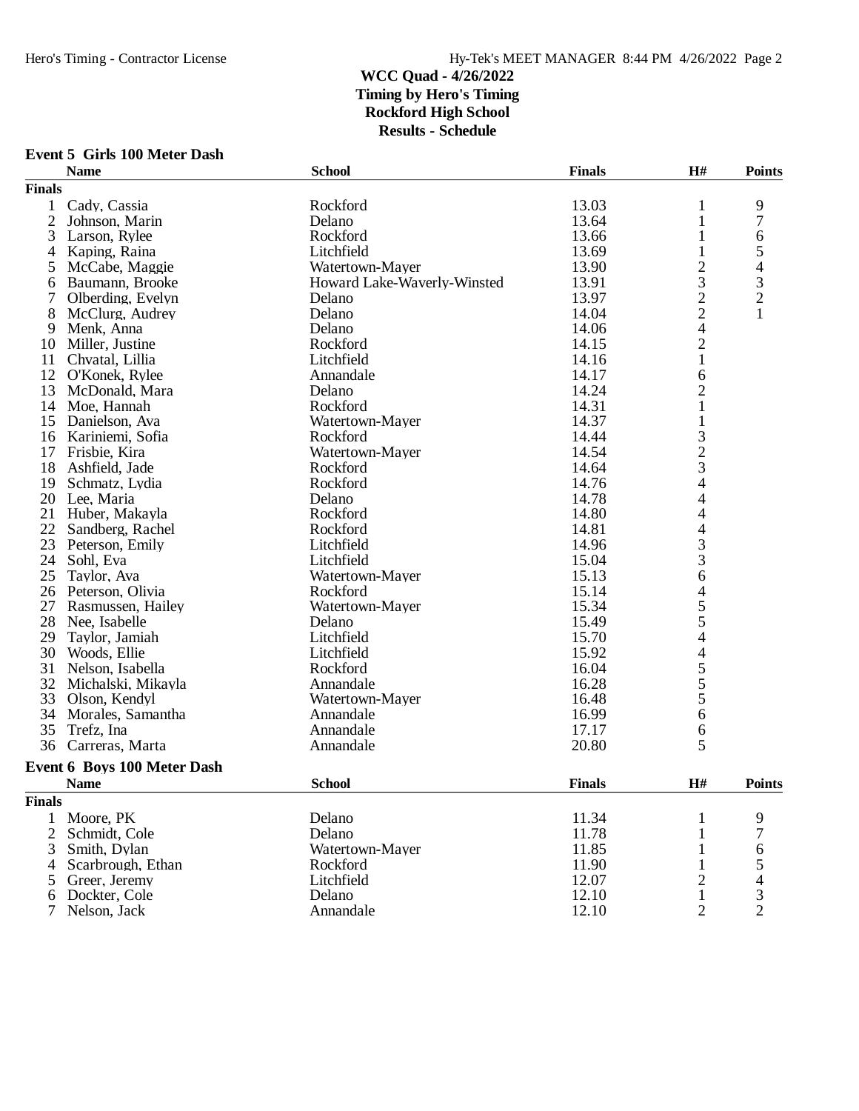#### **Event 5 Girls 100 Meter Dash**

|                | <b>Name</b>                 | <b>School</b>               | <b>Finals</b>  | H#                       | <b>Points</b>            |
|----------------|-----------------------------|-----------------------------|----------------|--------------------------|--------------------------|
| <b>Finals</b>  |                             |                             |                |                          |                          |
| 1              | Cady, Cassia                | Rockford                    | 13.03          | $\mathbf{1}$             | 9                        |
| $\mathfrak{2}$ | Johnson, Marin              | Delano                      | 13.64          | $\mathbf{1}$             | $\tau$                   |
| 3              | Larson, Rylee               | Rockford                    | 13.66          | 1                        | 6                        |
| 4              | Kaping, Raina               | Litchfield                  | 13.69          | 1                        | 5                        |
| 5              | McCabe, Maggie              | Watertown-Mayer             | 13.90          | $\overline{c}$           | $\overline{\mathcal{L}}$ |
| 6              | Baumann, Brooke             | Howard Lake-Waverly-Winsted | 13.91          | 3                        | 3                        |
| 7              | Olberding, Evelyn           | Delano                      | 13.97          |                          |                          |
| 8              | McClurg, Audrey             | Delano                      | 14.04          | $\frac{2}{2}$            | $\frac{2}{1}$            |
| 9              | Menk, Anna                  | Delano                      | 14.06          | $\overline{\mathbf{4}}$  |                          |
| 10             | Miller, Justine             | Rockford                    | 14.15          | $\overline{c}$           |                          |
| 11             | Chvatal, Lillia             | Litchfield                  | 14.16          | $\mathbf{1}$             |                          |
| 12             | O'Konek, Rylee              | Annandale                   | 14.17          | $\sqrt{6}$               |                          |
| 13             | McDonald, Mara              | Delano                      | 14.24          |                          |                          |
| 14             | Moe, Hannah                 | Rockford                    | 14.31          | $\frac{2}{1}$            |                          |
| 15             | Danielson, Ava              | Watertown-Mayer             | 14.37          | $\mathbf{1}$             |                          |
| 16             | Kariniemi, Sofia            | Rockford                    | 14.44          |                          |                          |
| 17             |                             | Watertown-Mayer             | 14.54          | $\frac{3}{2}$            |                          |
|                | Frisbie, Kira               |                             |                | $\overline{3}$           |                          |
| 18             | Ashfield, Jade              | Rockford                    | 14.64<br>14.76 |                          |                          |
| 19             | Schmatz, Lydia              | Rockford                    |                | 4                        |                          |
| 20             | Lee, Maria                  | Delano                      | 14.78          | 4                        |                          |
| 21             | Huber, Makayla              | Rockford                    | 14.80          | 4                        |                          |
| 22             | Sandberg, Rachel            | Rockford                    | 14.81          | $\overline{4}$           |                          |
| 23             | Peterson, Emily             | Litchfield                  | 14.96          | 3                        |                          |
| 24             | Sohl, Eva                   | Litchfield                  | 15.04          | $\mathfrak{Z}$           |                          |
| 25             | Taylor, Ava                 | Watertown-Mayer             | 15.13          | $\boldsymbol{6}$         |                          |
| 26             | Peterson, Olivia            | Rockford                    | 15.14          | $\overline{\mathcal{A}}$ |                          |
| 27             | Rasmussen, Hailey           | Watertown-Mayer             | 15.34          | $rac{5}{5}$              |                          |
| 28             | Nee, Isabelle               | Delano                      | 15.49          |                          |                          |
| 29             | Taylor, Jamiah              | Litchfield                  | 15.70          | $\overline{\mathcal{L}}$ |                          |
| 30             | Woods, Ellie                | Litchfield                  | 15.92          | $\overline{\mathcal{L}}$ |                          |
| 31             | Nelson, Isabella            | Rockford                    | 16.04          |                          |                          |
|                | 32 Michalski, Mikayla       | Annandale                   | 16.28          | $\frac{5}{5}$            |                          |
| 33             | Olson, Kendyl               | Watertown-Mayer             | 16.48          |                          |                          |
| 34             | Morales, Samantha           | Annandale                   | 16.99          | 6                        |                          |
| 35             | Trefz, Ina                  | Annandale                   | 17.17          | 6                        |                          |
| 36             | Carreras, Marta             | Annandale                   | 20.80          | 5                        |                          |
|                | Event 6 Boys 100 Meter Dash |                             |                |                          |                          |
|                | <b>Name</b>                 | <b>School</b>               | <b>Finals</b>  | H#                       | <b>Points</b>            |
| <b>Finals</b>  |                             |                             |                |                          |                          |
| $\mathbf{1}$   | Moore, PK                   | Delano                      | 11.34          | 1                        | 9                        |
| $\overline{2}$ | Schmidt, Cole               | Delano                      | 11.78          | 1                        | 7                        |
| 3              | Smith, Dylan                | Watertown-Mayer             | 11.85          | 1                        | 6                        |
| 4              | Scarbrough, Ethan           | Rockford                    | 11.90          | 1                        | 5                        |
| 5              | Greer, Jeremy               | Litchfield                  | 12.07          | $\overline{c}$           | $\overline{\mathcal{A}}$ |
| 6              | Dockter, Cole               | Delano                      | 12.10          | $\mathbf{1}$             | 3                        |
|                | 7 Nelson, Jack              | Annandale                   | 12.10          | $\overline{2}$           | $\overline{2}$           |
|                |                             |                             |                |                          |                          |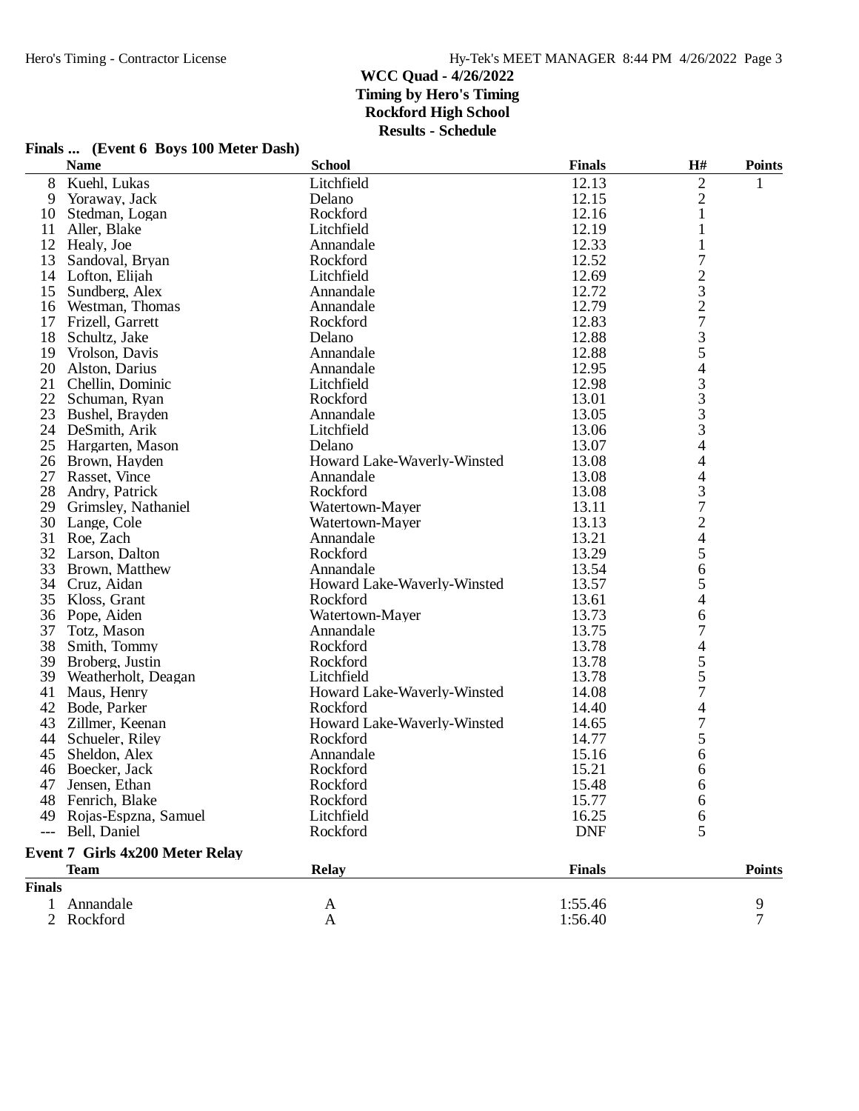**Finals**

#### **WCC Quad - 4/26/2022 Timing by Hero's Timing Rockford High School Results - Schedule**

#### **Name School Finals H# Points** 8 Kuehl, Lukas Litchfield 12.13 2 1 9 Yoraway, Jack Delano 12.15 2 12.16 1 Stedman, Logan Rockford 12.16 1<br>
Aller, Blake 12.19 1 11 Aller, Blake Litchfield 12.19 1<br>12 Healy Joe – Annandale 12.33 1 12 Healy, Joe Annandale 12.33 1 12.52 T<br>
12.52 T<br>
Litchfield 12.69 2 14 Lofton, Elijah Litchfield 12.69 2<br>15 Sundberg, Alex Annandale 12.72 3 Sundberg, Alex **Annandale** 12.72 3<br>Westman, Thomas **Annandale** 12.79 2 16 Westman, Thomas **Annandale** 12.79 2<br>17 Frizell, Garrett **Rockford** 12.83 2 17 Frizell, Garrett Rockford 12.83 7<br>18 Schultz, Jake Delano 12.88 3 18 Schultz, Jake Delano 12.88 3 19 Vrolson, Davis Annandale 12.88 5 20 Alston, Darius Annandale 12.95 4<br>21 Chellin, Dominic Litchfield 12.98 3 21 Chellin, Dominic Litchfield 12.98 3<br>22 Schuman, Ryan Rockford 13.01 3 22 Schuman, Ryan Rockford 13.01 3<br>23 Bushel, Brayden Annandale 13.05 3 23 Bushel, Brayden Annandale 13.05 3<br>24 DeSmith, Arik Litchfield 13.06 3 24 DeSmith, Arik 13.06 3<br>25 Hargarten, Mason 13.07 25 Hargarten, Mason 25 Hargarten, Mason 26 Hargarten, Mason 20 25 Hargarten, Mason Delano 13.07 4 26 Brown, Hayden Howard Lake-Waverly-Winsted 13.08 4 27 Rasset, Vince 27 Annandale 27 Annandale 27 Annandale 27 Annandale 27 Andrv, Patrick 27 Andrv, Patrick 27 Annandale 27 Annandale 27 Annandale 27 Annandale 27 Annandale 27 Annandale 27 Annandale 27 Annandale 27 Annandale 28 Andry, Patrick **Rockford** Rockford 13.08 3<br>29 Grimslev, Nathaniel **13.11** 13.11 13.11 1 13.11 29 Grimsley, Nathaniel Watertown-Mayer 13.11 7 Vatertown-Mayer 13.13 2<br>Annandale 13.21 4 13.21 Roe, Zach Annandale 13.21 4<br>32 Larson, Dalton Rockford 13.29 5 32 Larson, Dalton Rockford 13.29 5<br>33 Brown, Matthew Annandale 13.54 6 33 Brown, Matthew Annandale 13.54 6 4 Howard Lake-Waverly-Winsted 13.57 5<br>3.61 13.61 35 Kloss, Grant 13.61 Rockford 13.61 4<br>36 Pope, Aiden Watertown-Mayer 13.73 6 36 Pope, Aiden Watertown-Mayer 13.73 6<br>37 Totz, Mason Annandale 13.75 7 37 Totz, Mason Annandale 13.75 7 38 Smith, Tommy Rockford 13.78 4<br>39 Broberg, Justin Rockford 13.78 5 Broberg, Justin Rockford 13.78 5<br>
Weatherholt, Deagan Litchfield 13.78 5 39 Weatherholt, Deagan Litchfield 13.78 5<br>41 Maus. Henry Howard Lake-Waverly-Winsted 14.08 7 41 Howard Lake-Waverly-Winsted 14.08 7<br>Rockford 14.40 42 Bode, Parker Rockford 14.40 4 43 Howard Lake-Waverly-Winsted 14.65 7<br>Rockford 14.77 5 44 Schueler, Riley Rockford 14.77 5<br>45 Sheldon, Alex Annandale 15.16 6 15.16 Sheldon, Alex Annandale 15.16 6<br>Boecker. Jack Rockford 15.21 6 46 Boecker, Jack Rockford 15.21 6 15.48 between the temperature of the Rockford and the 15.48 6 of the Fenrich Blake 6 of Rockford and Tag and Rockford and the 15.77 6 of the 15.77 6 of the 15.77 6 of the 15.77 6 of the 15.77 6 of the 15.77 6 of the 15.77 48 Fenrich, Blake Rockford and Rockford and 15.77 6<br>49 Rojas-Espzna, Samuel Litchfield 16.25 6 49 Rojas-Espzna, Samuel Litchfield 16.25 6<br>
-- Bell, Daniel Rockford DNF 5 --- Bell, Daniel **Event 7 Girls 4x200 Meter Relay Team Relay Finals Points**

#### **Finals ... (Event 6 Boys 100 Meter Dash)**

1 Annandale 2 A 2:55.46 9 2 Rockford **A** 1:56.40 7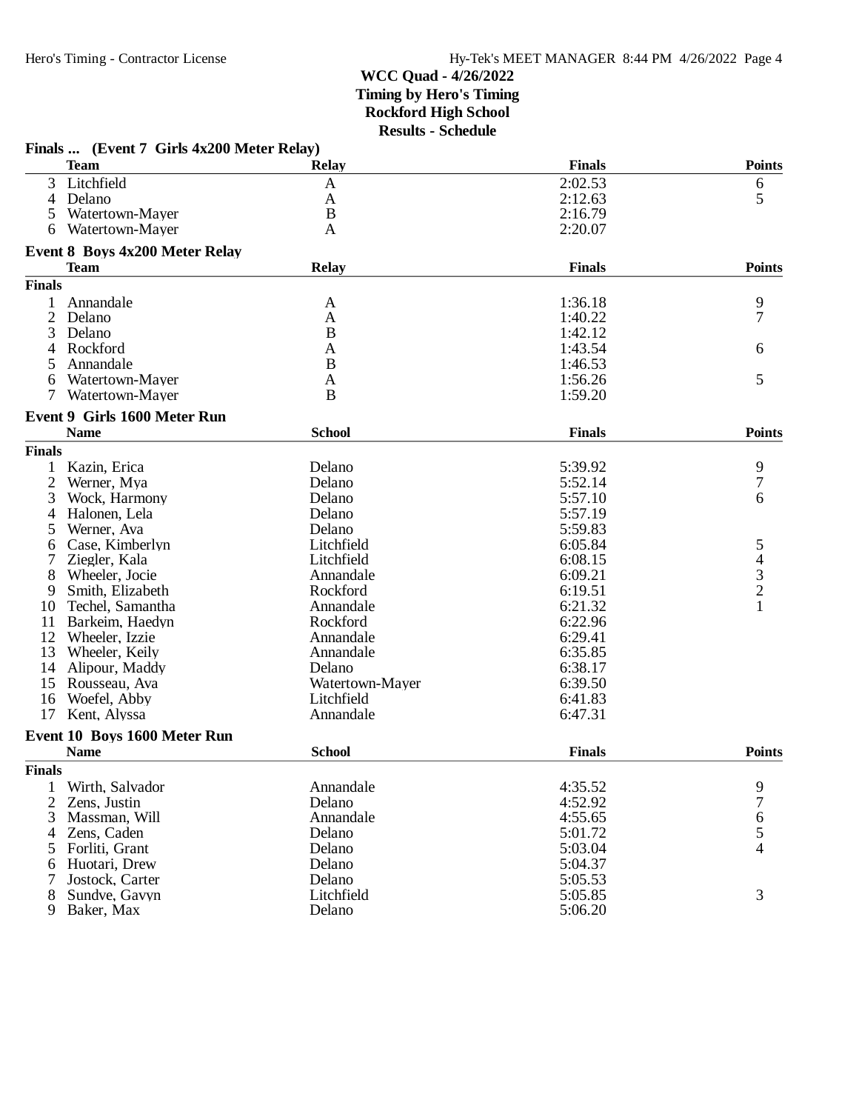|                | Finals  (Event 7 Girls 4x200 Meter Relay) |                  |               |                                                 |
|----------------|-------------------------------------------|------------------|---------------|-------------------------------------------------|
|                | <b>Team</b>                               | <b>Relay</b>     | <b>Finals</b> | <b>Points</b>                                   |
| 3 <sup>1</sup> | Litchfield                                | A                | 2:02.53       | 6                                               |
| 4              | Delano                                    | A                | 2:12.63       | 5                                               |
| 5              | Watertown-Mayer                           | $\boldsymbol{B}$ | 2:16.79       |                                                 |
| 6              | Watertown-Mayer                           | A                | 2:20.07       |                                                 |
|                | <b>Event 8 Boys 4x200 Meter Relay</b>     |                  |               |                                                 |
|                | <b>Team</b>                               | <b>Relay</b>     | <b>Finals</b> | <b>Points</b>                                   |
| <b>Finals</b>  |                                           |                  |               |                                                 |
| $\mathbf{1}$   | Annandale                                 | A                | 1:36.18       | 9                                               |
| $\overline{2}$ | Delano                                    | A                | 1:40.22       | 7                                               |
| 3              | Delano                                    | $\bf{B}$         | 1:42.12       |                                                 |
| 4              | Rockford                                  | A                | 1:43.54       | 6                                               |
| 5              | Annandale                                 | B                | 1:46.53       |                                                 |
| 6              | Watertown-Mayer                           | A                | 1:56.26       | 5                                               |
| 7              | Watertown-Mayer                           | B                | 1:59.20       |                                                 |
|                | <b>Event 9 Girls 1600 Meter Run</b>       |                  |               |                                                 |
|                | <b>Name</b>                               | <b>School</b>    | <b>Finals</b> | <b>Points</b>                                   |
| <b>Finals</b>  |                                           |                  |               |                                                 |
| 1              | Kazin, Erica                              | Delano           | 5:39.92       | 9                                               |
| 2              | Werner, Mya                               | Delano           | 5:52.14       | 7                                               |
| 3              | Wock, Harmony                             | Delano           | 5:57.10       | 6                                               |
| 4              | Halonen, Lela                             | Delano           | 5:57.19       |                                                 |
| 5              | Werner, Ava                               | Delano           | 5:59.83       |                                                 |
| 6              | Case, Kimberlyn                           | Litchfield       | 6:05.84       | 5                                               |
| 7              | Ziegler, Kala                             | Litchfield       | 6:08.15       |                                                 |
| 8              | Wheeler, Jocie                            | Annandale        | 6:09.21       | $\begin{array}{c} 4 \\ 3 \\ 2 \\ 1 \end{array}$ |
| 9              | Smith, Elizabeth                          | Rockford         | 6:19.51       |                                                 |
| 10             | Techel, Samantha                          | Annandale        | 6:21.32       |                                                 |
| 11             | Barkeim, Haedyn                           | Rockford         | 6:22.96       |                                                 |
| 12             | Wheeler, Izzie                            | Annandale        | 6:29.41       |                                                 |
| 13             | Wheeler, Keily                            | Annandale        | 6:35.85       |                                                 |
| 14             | Alipour, Maddy                            | Delano           | 6:38.17       |                                                 |
|                | Rousseau, Ava                             | Watertown-Mayer  | 6:39.50       |                                                 |
| 15<br>16       |                                           | Litchfield       | 6:41.83       |                                                 |
| 17             | Woefel, Abby<br>Kent, Alyssa              | Annandale        | 6:47.31       |                                                 |
|                |                                           |                  |               |                                                 |
|                | Event 10 Boys 1600 Meter Run              |                  |               |                                                 |
|                | <b>Name</b>                               | <b>School</b>    | <b>Finals</b> | <b>Points</b>                                   |
| <b>Finals</b>  |                                           |                  |               |                                                 |
| 1              | Wirth, Salvador                           | Annandale        | 4:35.52       | 9                                               |
| $\overline{2}$ | Zens, Justin                              | Delano           | 4:52.92       | $\boldsymbol{7}$                                |
| 3              | Massman, Will                             | Annandale        | 4:55.65       | $\sqrt{6}$                                      |
| 4              | Zens, Caden                               | Delano           | 5:01.72       | 5                                               |
|                | 5 Forliti, Grant                          | Delano           | 5:03.04       | $\overline{4}$                                  |
| 6              | Huotari, Drew                             | Delano           | 5:04.37       |                                                 |
| 7              | Jostock, Carter                           | Delano           | 5:05.53       |                                                 |
| 8              | Sundve, Gavyn                             | Litchfield       | 5:05.85       | 3                                               |
| 9              | Baker, Max                                | Delano           | 5:06.20       |                                                 |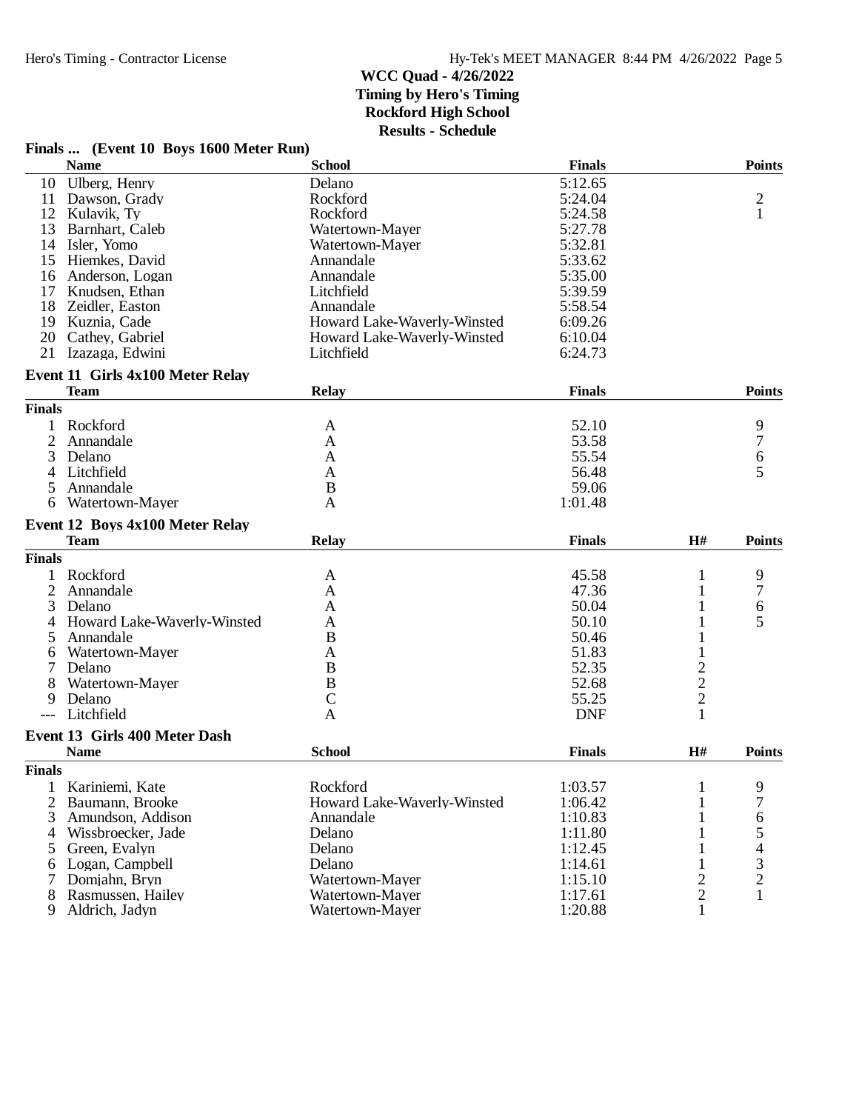#### **WCC Quad - 4/26/2022 Timing by Hero's Timing Rockford High School Results - Schedule**

#### Finals ... (Event 10 Boys 1600 Meter Run)<br>Name School **Name School Finals Points** 10 Ulberg, Henry Delano 5:12.65<br>
11 Dawson, Grady Rockford 5:24.04 11 Dawson, Grady Rockford 5:24.04 2 12 Kulavik, Ty **Rockford** 5:24.58 1 13 Barnhart, Caleb Watertown-Mayer 5:27.78 14 Isler, Yomo **Watertown-Mayer** 5:32.81<br>15 Hiemkes, David **Manualis** Annandale 5:33.62 15 Hiemkes, David Annandale 5:33.62<br>16 Anderson, Logan Annandale 5:35.00 16 Anderson, Logan Annandale 5:35.00<br>17 Knudsen, Ethan Litchfield 5:39.59 17 Knudsen, Ethan Litchfield 5:39.59<br>
18 Zeidler, Easton Annandale 5:58.54 18 Zeidler, Easton **Annandale** 5:58.54<br>19 Kuznia, Cade **19 Howard Lake-Waverly-Winsted** 5:09.26 19 Kuznia, Cade Howard Lake-Waverly-Winsted 6:09.26

| 20<br>21       | Cathey, Gabriel<br>Izazaga, Edwini      | Howard Lake-Waverly-Winsted<br>Litchfield | 6:10.04<br>6:24.73 |                |                |
|----------------|-----------------------------------------|-------------------------------------------|--------------------|----------------|----------------|
|                | <b>Event 11 Girls 4x100 Meter Relay</b> |                                           |                    |                |                |
|                | <b>Team</b>                             | <b>Relay</b>                              | <b>Finals</b>      |                | <b>Points</b>  |
| <b>Finals</b>  |                                         |                                           |                    |                |                |
|                | Rockford                                | A                                         | 52.10              |                | 9              |
| $\overline{2}$ | Annandale                               | A                                         | 53.58              |                | 7              |
| 3              | Delano                                  | A                                         | 55.54              |                | 6              |
| 4              | Litchfield                              | A                                         | 56.48              |                | 5              |
| 5              | Annandale                               | B                                         | 59.06              |                |                |
| 6              | Watertown-Mayer                         | A                                         | 1:01.48            |                |                |
|                | <b>Event 12 Boys 4x100 Meter Relay</b>  |                                           |                    |                |                |
|                | <b>Team</b>                             | <b>Relay</b>                              | <b>Finals</b>      | H#             | <b>Points</b>  |
| <b>Finals</b>  |                                         |                                           |                    |                |                |
|                | Rockford                                | A                                         | 45.58              | 1              | 9              |
|                | Annandale                               | A                                         | 47.36              | 1              | 7              |
| 3              | Delano                                  | A                                         | 50.04              |                | 6              |
| $\overline{A}$ | Howard Lake-Waverly-Winsted             | A                                         | 50.10              |                | 5              |
|                | Annandale                               | B                                         | 50.46              |                |                |
| 6              | Watertown-Mayer                         | A                                         | 51.83              |                |                |
|                | Delano                                  | $\bf{B}$                                  | 52.35              |                |                |
|                | Watertown-Mayer                         | $\bf{B}$                                  | 52.68              | $\frac{2}{2}$  |                |
| 9              | Delano                                  | $\mathcal{C}$                             | 55.25              |                |                |
|                | Litchfield                              | $\overline{A}$                            | <b>DNF</b>         | $\mathbf{1}$   |                |
|                | Event 13 Girls 400 Meter Dash           |                                           |                    |                |                |
|                | <b>Name</b>                             | <b>School</b>                             | <b>Finals</b>      | H#             | <b>Points</b>  |
| <b>Finals</b>  |                                         |                                           |                    |                |                |
|                | Kariniemi, Kate                         | Rockford                                  | 1:03.57            | 1              | 9              |
| 2              | Baumann, Brooke                         | Howard Lake-Waverly-Winsted               | 1:06.42            |                | 7              |
| 3              | Amundson, Addison                       | Annandale                                 | 1:10.83            |                | 6              |
| 4              | Wissbroecker, Jade                      | Delano                                    | 1:11.80            |                | 5              |
| 5              | Green, Evalyn                           | Delano                                    | 1:12.45            |                | 4              |
| 6              | Logan, Campbell                         | Delano                                    | 1:14.61            |                | 3              |
|                | Domjahn, Bryn                           | Watertown-Mayer                           | 1:15.10            | $\overline{c}$ | $\overline{c}$ |
| 8              | Rasmussen, Hailey                       | Watertown-Mayer                           | 1:17.61            | $\overline{c}$ |                |
| 9              | Aldrich, Jadyn                          | Watertown-Mayer                           | 1:20.88            | $\mathbf{1}$   |                |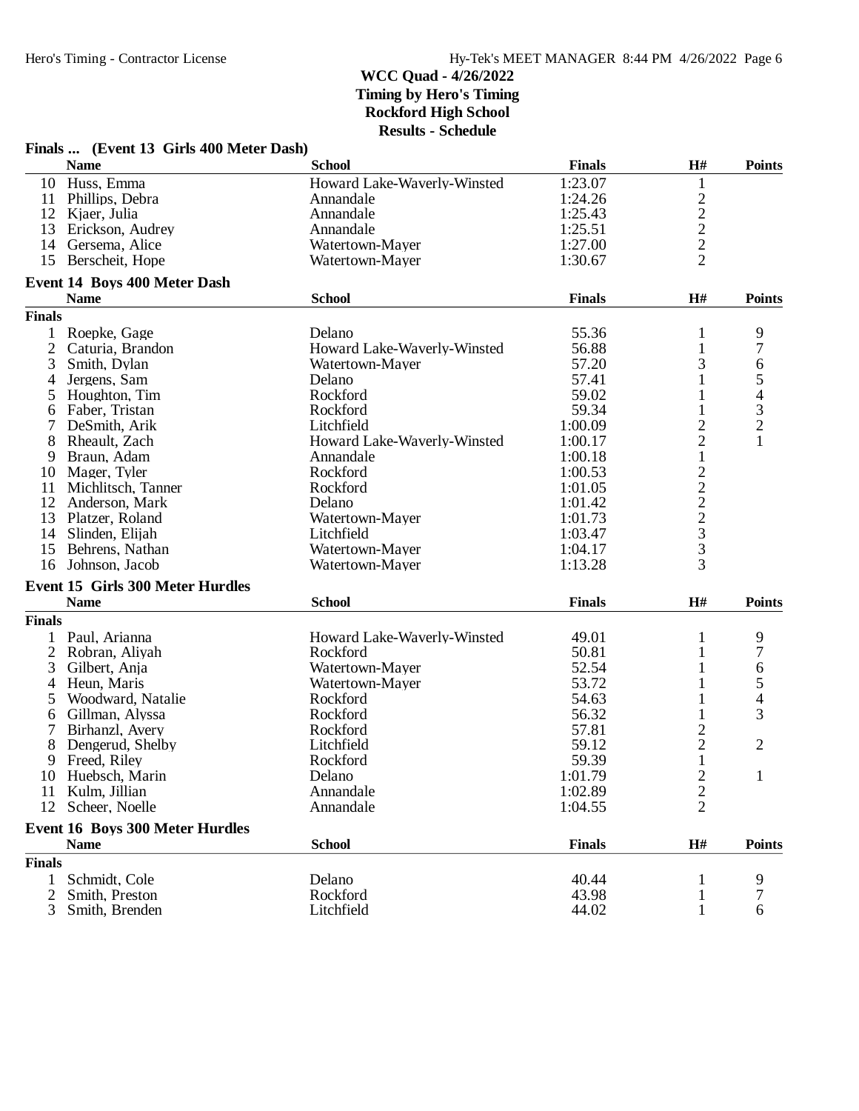|                | Finals  (Event 13 Girls 400 Meter Dash)               |                             |               |                                            |                                            |
|----------------|-------------------------------------------------------|-----------------------------|---------------|--------------------------------------------|--------------------------------------------|
|                | <b>Name</b>                                           | <b>School</b>               | <b>Finals</b> | H#                                         | <b>Points</b>                              |
|                | 10 Huss, Emma                                         | Howard Lake-Waverly-Winsted | 1:23.07       | 1                                          |                                            |
|                | 11 Phillips, Debra                                    | Annandale                   | 1:24.26       |                                            |                                            |
|                | 12 Kjaer, Julia                                       | Annandale                   | 1:25.43       | $\begin{array}{c} 2 \\ 2 \\ 2 \end{array}$ |                                            |
|                | 13 Erickson, Audrey                                   | Annandale                   | 1:25.51       |                                            |                                            |
|                | 14 Gersema, Alice                                     | Watertown-Mayer             | 1:27.00       |                                            |                                            |
| 15             | Berscheit, Hope                                       | Watertown-Mayer             | 1:30.67       | $\overline{2}$                             |                                            |
|                | <b>Event 14 Boys 400 Meter Dash</b>                   |                             |               |                                            |                                            |
|                | <b>Name</b>                                           | <b>School</b>               | <b>Finals</b> | H#                                         | <b>Points</b>                              |
| <b>Finals</b>  |                                                       |                             |               |                                            |                                            |
| $\mathbf{1}$   | Roepke, Gage                                          | Delano                      | 55.36         | 1                                          | 9                                          |
| $\overline{2}$ | Caturia, Brandon                                      | Howard Lake-Waverly-Winsted | 56.88         | 1                                          | 7                                          |
| 3              | Smith, Dylan                                          | Watertown-Mayer             | 57.20         | 3                                          | 6                                          |
| 4              | Jergens, Sam                                          | Delano                      | 57.41         | 1                                          | 5                                          |
| 5              | Houghton, Tim                                         | Rockford                    | 59.02         | 1                                          |                                            |
| 6              | Faber, Tristan                                        | Rockford                    | 59.34         | 1                                          | $\begin{array}{c} 4 \\ 3 \\ 2 \end{array}$ |
| 7              | DeSmith, Arik                                         | Litchfield                  | 1:00.09       |                                            |                                            |
| 8              | Rheault, Zach                                         | Howard Lake-Waverly-Winsted | 1:00.17       | $\frac{2}{2}$                              | 1                                          |
| 9              | Braun, Adam                                           | Annandale                   | 1:00.18       | $\mathbf{1}$                               |                                            |
|                |                                                       | Rockford                    |               |                                            |                                            |
| 10             | Mager, Tyler                                          |                             | 1:00.53       | 222233                                     |                                            |
| 11             | Michlitsch, Tanner                                    | Rockford                    | 1:01.05       |                                            |                                            |
| 12             | Anderson, Mark                                        | Delano                      | 1:01.42       |                                            |                                            |
| 13             | Platzer, Roland                                       | Watertown-Mayer             | 1:01.73       |                                            |                                            |
|                | 14 Slinden, Elijah                                    | Litchfield                  | 1:03.47       |                                            |                                            |
| 15             | Behrens, Nathan                                       | Watertown-Mayer             | 1:04.17       |                                            |                                            |
| 16             | Johnson, Jacob                                        | Watertown-Mayer             | 1:13.28       | 3                                          |                                            |
|                | <b>Event 15 Girls 300 Meter Hurdles</b>               |                             |               |                                            |                                            |
|                | <b>Name</b>                                           | <b>School</b>               | <b>Finals</b> | H#                                         | <b>Points</b>                              |
| <b>Finals</b>  |                                                       |                             |               |                                            |                                            |
| $\mathbf{1}$   | Paul, Arianna                                         | Howard Lake-Waverly-Winsted | 49.01         | 1                                          | 9                                          |
| $\overline{2}$ | Robran, Aliyah                                        | Rockford                    | 50.81         | 1                                          | 7                                          |
| 3              | Gilbert, Anja                                         | Watertown-Mayer             | 52.54         | 1                                          | 6                                          |
| 4              | Heun, Maris                                           | Watertown-Mayer             | 53.72         | 1                                          | 5                                          |
| 5              | Woodward, Natalie                                     | Rockford                    | 54.63         | 1                                          | 4                                          |
| 6              | Gillman, Alyssa                                       | Rockford                    | 56.32         | 1                                          | 3                                          |
| 7              | Birhanzl, Avery                                       | Rockford                    | 57.81         |                                            |                                            |
| 8              | Dengerud, Shelby                                      | Litchfield                  | 59.12         | $\frac{2}{2}$                              | $\overline{2}$                             |
| 9              | Freed, Riley                                          | Rockford                    | 59.39         | $\mathbf 1$                                |                                            |
|                | 10 Huebsch, Marin                                     | Delano                      | 1:01.79       | $\overline{c}$                             | $\mathbf{I}$                               |
| 11             | Kulm, Jillian                                         | Annandale                   | 1:02.89       | $\overline{c}$                             |                                            |
| 12             | Scheer, Noelle                                        | Annandale                   | 1:04.55       | $\overline{2}$                             |                                            |
|                |                                                       |                             |               |                                            |                                            |
|                | <b>Event 16 Boys 300 Meter Hurdles</b><br><b>Name</b> | <b>School</b>               | <b>Finals</b> | H#                                         | <b>Points</b>                              |
| <b>Finals</b>  |                                                       |                             |               |                                            |                                            |
|                |                                                       |                             |               |                                            |                                            |
| 1              | Schmidt, Cole                                         | Delano                      | 40.44         | 1                                          | 9                                          |
| 2              | Smith, Preston                                        | Rockford                    | 43.98         | 1                                          | 7                                          |
| 3              | Smith, Brenden                                        | Litchfield                  | 44.02         | $\mathbf{1}$                               | 6                                          |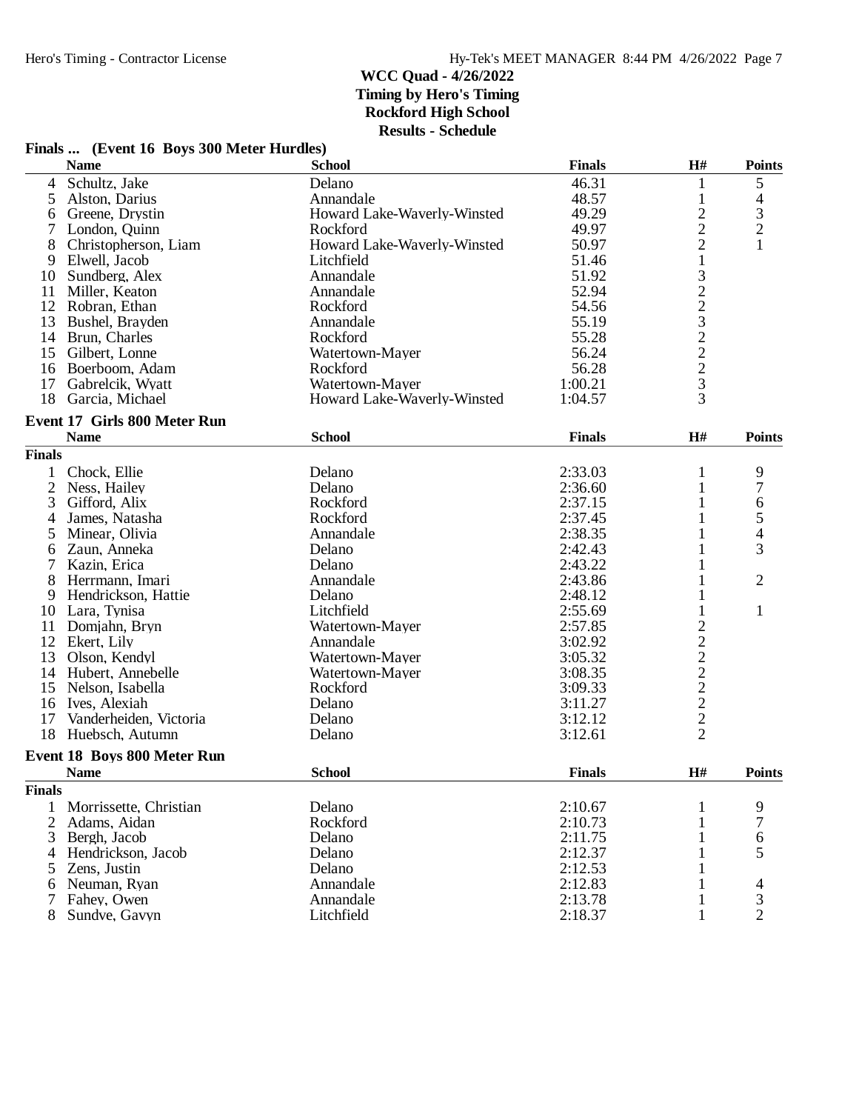#### **Finals ... (Event 16 Boys 300 Meter Hurdles) Name School Finals H# Points** 4 Schultz, Jake Delano 46.31 1 5 5 Alston, Darius Annandale 48.57 1 4 6 Greene, Drystin Howard Lake-Waverly-Winsted 49.29 3<br>
7 London, Ouinn Rockford 49.97 7 London, Quinn Rockford 49.97 2 2 8 Christopherson, Liam Howard Lake-Waverly-Winsted 50.97 2 1 Elwell, Jacob Litchfield 51.46 1<br>
Sundberg, Alex Annandale 51.92 3 10 Sundberg, Alex Annandale 51.92 3<br>
11 Miller, Keaton Annandale 52.94 2<br>
12 Robran, Ethan Rockford 54.56 2 11 Miller, Keaton **11 Miller, Keaton 12 Roking** Annandale 12 Robran, Ethan 12 Rockford 12 Rockford 12 Rockford 12 Robran, Ethan Rockford 54.56 2 13 Bushel, Brayden Annandale 55.19 3<br>
14 Brun, Charles Rockford 55.28 2<br>
15 Gilbert, Lonne Watertown-Mayer 56.24 2 14 Brun, Charles Rockford 55.28 2 15 Watertown-Mayer 56.24 2<br>15 Gookford 56.28 2 16 Boerboom, Adam Rockford 56.28 2 17 Gabrelcik, Wyatt Watertown-Mayer 1:00.21 3 Howard Lake-Waverly-Winsted **Event 17 Girls 800 Meter Run Name School Finals H# Points Finals** 1 Chock, Ellie Delano 2:33.03 1 9 2 Ness, Hailey Delano 2:36.60 1 7 3 Gifford, Alix Rockford 2:37.15 1 6 4 James, Natasha Rockford 2:37.45 1 5 1 Minear, Olivia 2.38.35 1 4<br>
2 Zaun, Anneka 1 2-42.43 1 3 6 Zaun, Anneka Delano 2:42.43 1 3 7 Kazin, Erica Delano 2:43.22 1 8 Herrmann, Imari Annandale 2:43.86 1 2 9 Hendrickson, Hattie Delano 2:48.12 1 10 Lara, Tynisa Litchfield 2:55.69 1 1 11 Domjahn, Bryn Watertown-Mayer 2:57.85 2<br>12 Ekert, Lily Annandale 3:02.92 2 12 Ekert, Lily Annandale 3:02.92 2 13 Olson, Kendyl Watertown-Mayer 3:05.32 2 14 Hubert, Annebelle Watertown-Mayer 3:08.35 2<br>15 Nelson, Isabella Rockford 3:09.33 2 15 Nelson, Isabella Rockford 3:09.33 2 19 Ives, Alexiah Delano Delano 3:11.27 2<br>
16 Vanderheiden, Victoria Delano 3:12.12 2 17 Vanderheiden, Victoria Delano 3:12.12 2<br>18 Huebsch, Autumn Delano 3:12.61 2 18 Huebsch, Autumn **Event 18 Boys 800 Meter Run Name School Finals H# Points**

| <b>Finals</b> |                        |            |         |  |
|---------------|------------------------|------------|---------|--|
|               | Morrissette, Christian | Delano     | 2:10.67 |  |
|               | 2 Adams, Aidan         | Rockford   | 2:10.73 |  |
|               | 3 Bergh, Jacob         | Delano     | 2:11.75 |  |
|               | 4 Hendrickson, Jacob   | Delano     | 2:12.37 |  |
|               | 5 Zens, Justin         | Delano     | 2:12.53 |  |
|               | 6 Neuman, Ryan         | Annandale  | 2:12.83 |  |
|               | Fahey, Owen            | Annandale  | 2:13.78 |  |
|               | 8 Sundve, Gavyn        | Litchfield | 2:18.37 |  |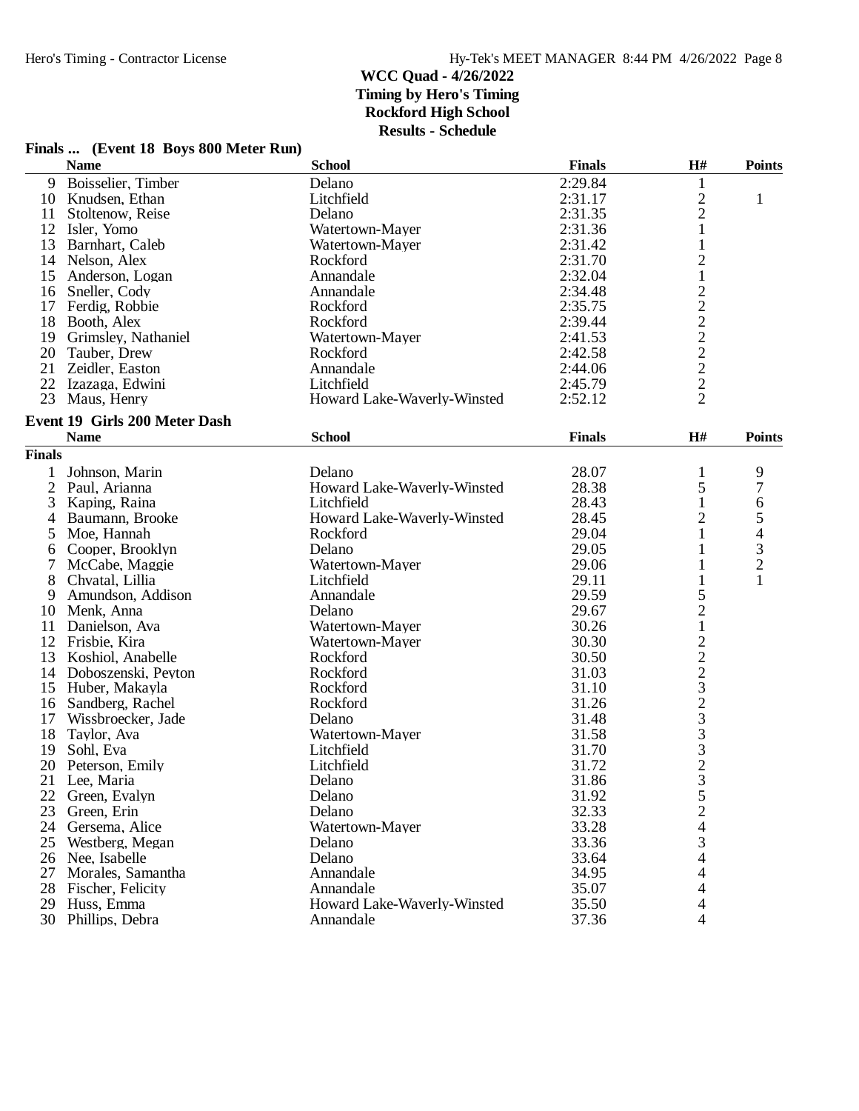# **Finals ... (Event 18 Boys 800 Meter Run)**

|                | <b>Name</b>                   | <b>School</b>               | <b>Finals</b> | H#                          | <b>Points</b>    |
|----------------|-------------------------------|-----------------------------|---------------|-----------------------------|------------------|
| 9              | Boisselier, Timber            | Delano                      | 2:29.84       | 1                           |                  |
|                | 10 Knudsen, Ethan             | Litchfield                  | 2:31.17       |                             | 1                |
| 11             | Stoltenow, Reise              | Delano                      | 2:31.35       | $\frac{2}{2}$               |                  |
| 12             | Isler, Yomo                   | Watertown-Mayer             | 2:31.36       | 1                           |                  |
| 13             | Barnhart, Caleb               | Watertown-Mayer             | 2:31.42       | 1                           |                  |
| 14             | Nelson, Alex                  | Rockford                    | 2:31.70       | $\overline{c}$              |                  |
| 15             | Anderson, Logan               | Annandale                   | 2:32.04       | $\,1$                       |                  |
|                | 16 Sneller, Cody              | Annandale                   | 2:34.48       |                             |                  |
| 17             | Ferdig, Robbie                | Rockford                    | 2:35.75       | 22222222                    |                  |
| 18             | Booth, Alex                   | Rockford                    | 2:39.44       |                             |                  |
| 19             | Grimsley, Nathaniel           | Watertown-Mayer             | 2:41.53       |                             |                  |
| 20             | Tauber, Drew                  | Rockford                    | 2:42.58       |                             |                  |
| 21             | Zeidler, Easton               | Annandale                   | 2:44.06       |                             |                  |
| 22             | Izazaga, Edwini               | Litchfield                  | 2:45.79       |                             |                  |
| 23             | Maus, Henry                   | Howard Lake-Waverly-Winsted | 2:52.12       |                             |                  |
|                |                               |                             |               |                             |                  |
|                | Event 19 Girls 200 Meter Dash |                             |               |                             |                  |
|                | <b>Name</b>                   | <b>School</b>               | <b>Finals</b> | H#                          | <b>Points</b>    |
| <b>Finals</b>  |                               |                             |               |                             |                  |
| 1              | Johnson, Marin                | Delano                      | 28.07         | $\mathbf{1}$                | 9                |
| $\overline{2}$ | Paul, Arianna                 | Howard Lake-Waverly-Winsted | 28.38         | 5                           | $\boldsymbol{7}$ |
| 3              | Kaping, Raina                 | Litchfield                  | 28.43         | $\mathbf{1}$                | 6                |
| 4              | Baumann, Brooke               | Howard Lake-Waverly-Winsted | 28.45         | $\overline{c}$              | 5                |
| 5              | Moe, Hannah                   | Rockford                    | 29.04         | 1                           | $\overline{4}$   |
| 6              | Cooper, Brooklyn              | Delano                      | 29.05         | 1                           | $\frac{3}{2}$    |
| 7              | McCabe, Maggie                | Watertown-Mayer             | 29.06         | 1                           |                  |
| 8              | Chvatal, Lillia               | Litchfield                  | 29.11         | $\mathbf{1}$                | $\mathbf{1}$     |
| 9              | Amundson, Addison             | Annandale                   | 29.59         |                             |                  |
| 10             | Menk, Anna                    | Delano                      | 29.67         | $\frac{5}{2}$               |                  |
| 11             | Danielson, Ava                | Watertown-Mayer             | 30.26         |                             |                  |
| 12             | Frisbie, Kira                 | Watertown-Mayer             | 30.30         |                             |                  |
| 13             | Koshiol, Anabelle             | Rockford                    | 30.50         |                             |                  |
| 14             | Doboszenski, Peyton           | Rockford                    | 31.03         |                             |                  |
| 15             | Huber, Makayla                | Rockford                    | 31.10         |                             |                  |
| 16             | Sandberg, Rachel              | Rockford                    | 31.26         |                             |                  |
| 17             | Wissbroecker, Jade            | Delano                      | 31.48         | $222323$<br>$3333$<br>$323$ |                  |
| 18             | Taylor, Ava                   | Watertown-Mayer             | 31.58         |                             |                  |
| 19             | Sohl, Eva                     | Litchfield                  | 31.70         |                             |                  |
| 20             | Peterson, Emily               | Litchfield                  | 31.72         |                             |                  |
| 21             | Lee, Maria                    | Delano                      | 31.86         |                             |                  |
| 22             | Green, Evalyn                 | Delano                      | 31.92         | 5                           |                  |
| 23             | Green, Erin                   | Delano                      | 32.33         | $\overline{c}$              |                  |
| 24             | Gersema, Alice                | Watertown-Mayer             | 33.28         | 4                           |                  |
| 25             | Westberg, Megan               | Delano                      | 33.36         | 3                           |                  |
|                | 26 Nee, Isabelle              | Delano                      | 33.64         | 4                           |                  |
| 27             | Morales, Samantha             | Annandale                   | 34.95         | 4                           |                  |
| 28             | Fischer, Felicity             | Annandale                   | 35.07         | 4                           |                  |
| 29             | Huss, Emma                    | Howard Lake-Waverly-Winsted | 35.50         | 4                           |                  |
|                | 30 Phillips, Debra            | Annandale                   | 37.36         | 4                           |                  |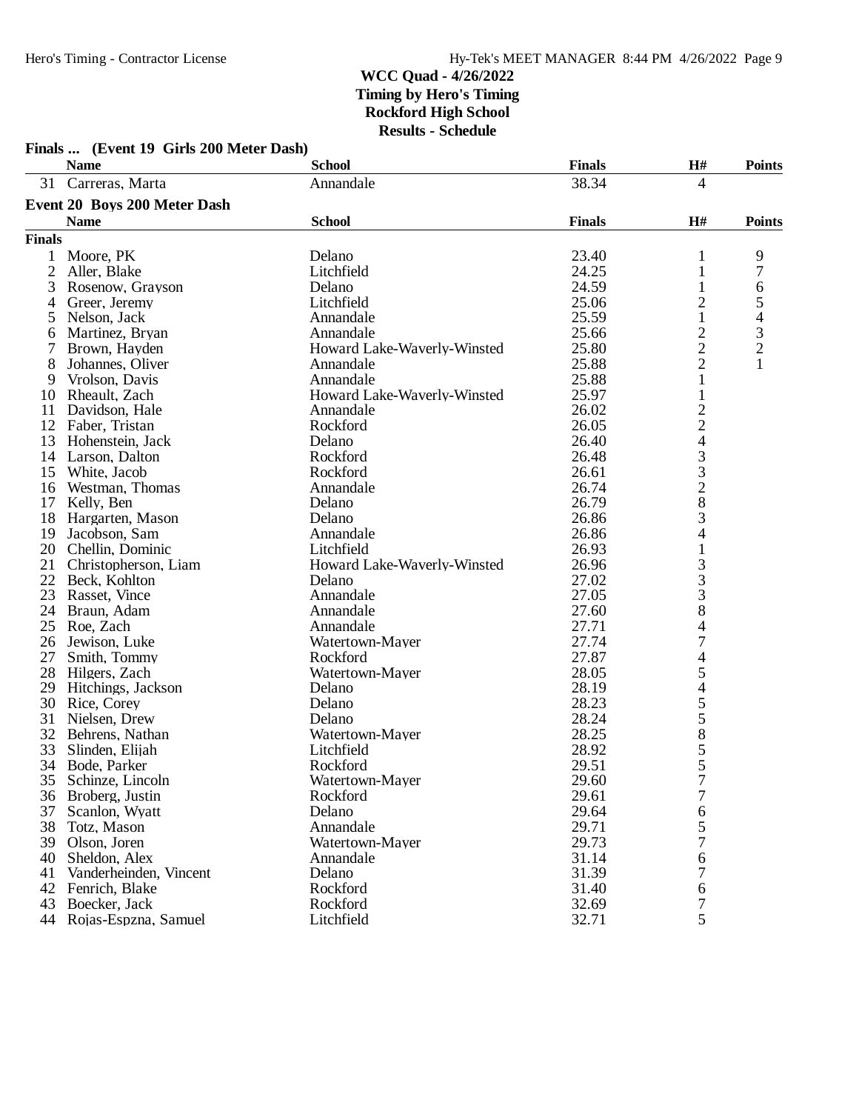**Finals ... (Event 19 Girls 200 Meter Dash)**

|               | <b>Name</b>                  | <b>School</b>               | <b>Finals</b> | H#                       | <b>Points</b>  |
|---------------|------------------------------|-----------------------------|---------------|--------------------------|----------------|
|               | 31 Carreras, Marta           | Annandale                   | 38.34         | $\overline{4}$           |                |
|               | Event 20 Boys 200 Meter Dash |                             |               |                          |                |
|               | <b>Name</b>                  | <b>School</b>               | <b>Finals</b> | H#                       | <b>Points</b>  |
| <b>Finals</b> |                              |                             |               |                          |                |
| 1             | Moore, PK                    | Delano                      | 23.40         | 1                        | 9              |
| 2             | Aller, Blake                 | Litchfield                  | 24.25         | 1                        | 7              |
| 3             | Rosenow, Grayson             | Delano                      | 24.59         | $\mathbf{1}$             | 6              |
| 4             | Greer, Jeremy                | Litchfield                  | 25.06         | $\overline{c}$           | 5              |
| 5             | Nelson, Jack                 | Annandale                   | 25.59         | $\mathbf{1}$             |                |
| 6             | Martinez, Bryan              | Annandale                   | 25.66         |                          | $rac{4}{3}$    |
| 7             | Brown, Hayden                | Howard Lake-Waverly-Winsted | 25.80         | $\frac{2}{2}$            | $\overline{c}$ |
| 8             | Johannes, Oliver             | Annandale                   | 25.88         | $\overline{2}$           | 1              |
| 9             | Vrolson, Davis               | Annandale                   | 25.88         | $\mathbf{1}$             |                |
| 10            | Rheault, Zach                | Howard Lake-Waverly-Winsted | 25.97         | $\mathbf{1}$             |                |
| 11            | Davidson, Hale               | Annandale                   | 26.02         | $\overline{c}$           |                |
| 12            | Faber, Tristan               | Rockford                    | 26.05         | $\overline{c}$           |                |
| 13            | Hohenstein, Jack             | Delano                      | 26.40         | $\overline{\mathcal{L}}$ |                |
| 14            | Larson, Dalton               | Rockford                    | 26.48         | 3                        |                |
| 15            | White, Jacob                 | Rockford                    | 26.61         |                          |                |
| 16            | Westman, Thomas              | Annandale                   | 26.74         | $\frac{3}{2}$            |                |
| 17            | Kelly, Ben                   | Delano                      | 26.79         | 8                        |                |
| 18            | Hargarten, Mason             | Delano                      | 26.86         | 3                        |                |
| 19            | Jacobson, Sam                | Annandale                   | 26.86         | 4                        |                |
| 20            | Chellin, Dominic             | Litchfield                  | 26.93         | $\mathbf{1}$             |                |
| 21            | Christopherson, Liam         | Howard Lake-Waverly-Winsted | 26.96         |                          |                |
| 22            | Beck, Kohlton                | Delano                      | 27.02         | $\frac{3}{3}$            |                |
| 23            | Rasset, Vince                | Annandale                   | 27.05         | 3                        |                |
| 24            | Braun, Adam                  | Annandale                   | 27.60         | 8                        |                |
| 25            | Roe, Zach                    | Annandale                   | 27.71         | $\overline{\mathcal{L}}$ |                |
| 26            | Jewison, Luke                | Watertown-Mayer             | 27.74         | $\overline{7}$           |                |
| 27            | Smith, Tommy                 | Rockford                    | 27.87         | $\overline{4}$           |                |
| 28            | Hilgers, Zach                | Watertown-Mayer             | 28.05         | 5                        |                |
| 29            | Hitchings, Jackson           | Delano                      | 28.19         | $\overline{\mathcal{L}}$ |                |
| 30            | Rice, Corey                  | Delano                      | 28.23         |                          |                |
| 31            | Nielsen, Drew                | Delano                      | 28.24         |                          |                |
| 32            | Behrens, Nathan              | Watertown-Mayer             | 28.25         | $\frac{5}{5}$            |                |
| 33            | Slinden, Elijah              | Litchfield                  | 28.92         |                          |                |
| 34            | Bode, Parker                 | Rockford                    | 29.51         | $\frac{5}{5}$            |                |
| 35            | Schinze, Lincoln             | Watertown-Mayer             | 29.60         | 7                        |                |
| 36            | Broberg, Justin              | Rockford                    | 29.61         | 7                        |                |
| 37            | Scanlon, Wyatt               | Delano                      | 29.64         |                          |                |
| 38            | Totz, Mason                  | Annandale                   | 29.71         | 6<br>5                   |                |
| 39            | Olson, Joren                 | Watertown-Mayer             | 29.73         | 7                        |                |
| 40            |                              |                             |               |                          |                |
|               | Sheldon, Alex                | Annandale                   | 31.14         | 6                        |                |
| 41<br>42      | Vanderheinden, Vincent       | Delano                      | 31.39         | 7                        |                |
|               | Fenrich, Blake               | Rockford                    | 31.40         | 6                        |                |
| 43            | Boecker, Jack                | Rockford                    | 32.69         | 7<br>5                   |                |
|               | 44 Rojas-Espzna, Samuel      | Litchfield                  | 32.71         |                          |                |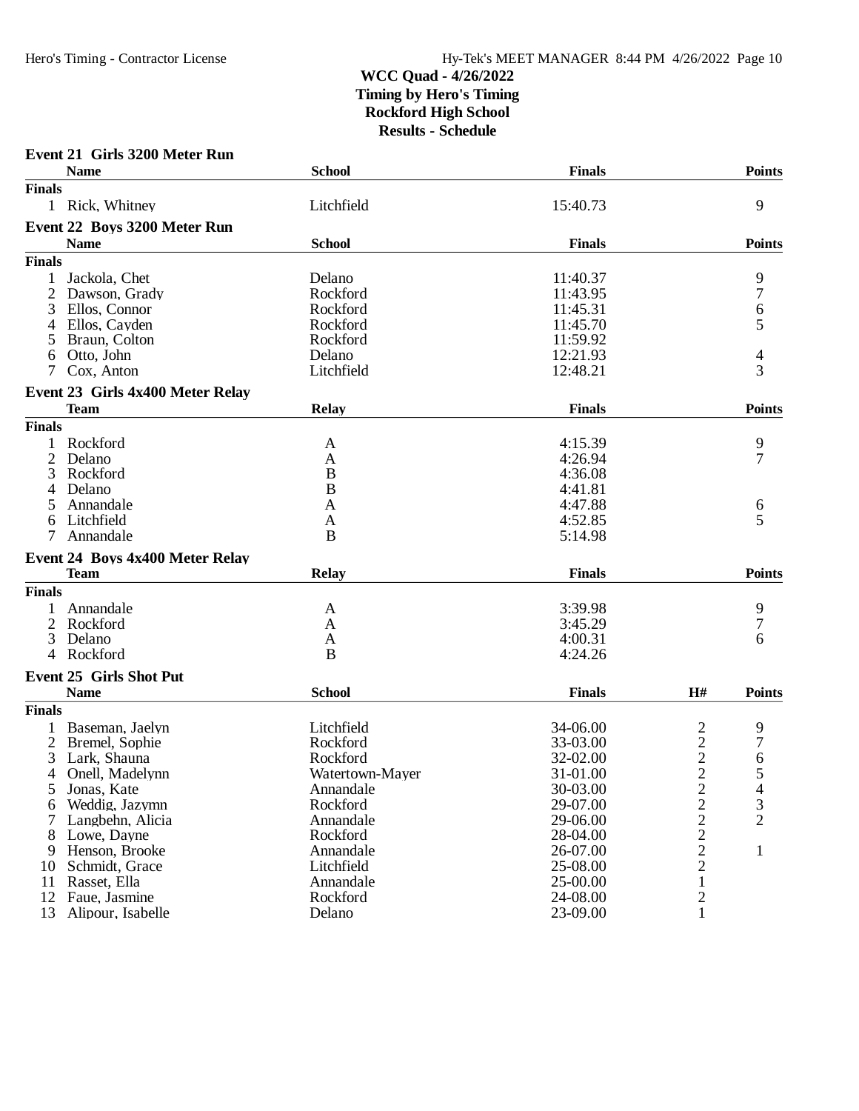|               | Event 21 Girls 3200 Meter Run    |                 |               |                         |                |
|---------------|----------------------------------|-----------------|---------------|-------------------------|----------------|
|               | <b>Name</b>                      | <b>School</b>   | <b>Finals</b> |                         | <b>Points</b>  |
| <b>Finals</b> |                                  |                 |               |                         |                |
|               | 1 Rick, Whitney                  | Litchfield      | 15:40.73      |                         | 9              |
|               | Event 22 Boys 3200 Meter Run     |                 |               |                         |                |
|               | <b>Name</b>                      | <b>School</b>   | <b>Finals</b> |                         | <b>Points</b>  |
| <b>Finals</b> |                                  |                 |               |                         |                |
|               | Jackola, Chet                    | Delano          | 11:40.37      |                         | 9              |
| 2             | Dawson, Grady                    | Rockford        | 11:43.95      |                         | 7              |
| 3             | Ellos, Connor                    | Rockford        | 11:45.31      |                         | 6              |
| 4             | Ellos, Cayden                    | Rockford        | 11:45.70      |                         | 5              |
| 5             | Braun, Colton                    | Rockford        | 11:59.92      |                         |                |
| 6             | Otto, John                       | Delano          | 12:21.93      |                         | 4              |
| 7             | Cox, Anton                       | Litchfield      | 12:48.21      |                         | 3              |
|               |                                  |                 |               |                         |                |
|               | Event 23 Girls 4x400 Meter Relay |                 |               |                         |                |
|               | <b>Team</b>                      | <b>Relay</b>    | <b>Finals</b> |                         | <b>Points</b>  |
| <b>Finals</b> |                                  |                 |               |                         |                |
|               | Rockford                         | A               | 4:15.39       |                         | 9              |
| 2             | Delano                           | A               | 4:26.94       |                         | 7              |
|               | Rockford                         | B               | 4:36.08       |                         |                |
|               | Delano                           | B               | 4:41.81       |                         |                |
|               | Annandale                        | A               | 4:47.88       |                         | 6              |
| 6             | Litchfield                       | A               | 4:52.85       |                         | 5              |
|               | Annandale                        | B               | 5:14.98       |                         |                |
|               | Event 24 Boys 4x400 Meter Relay  |                 |               |                         |                |
|               | <b>Team</b>                      | <b>Relay</b>    | <b>Finals</b> |                         | <b>Points</b>  |
| <b>Finals</b> |                                  |                 |               |                         |                |
|               | Annandale                        | A               | 3:39.98       |                         | 9              |
| 2             | Rockford                         | A               | 3:45.29       |                         | 7              |
| 3             | Delano                           | A               | 4:00.31       |                         | 6              |
| 4             | Rockford                         | B               | 4:24.26       |                         |                |
|               |                                  |                 |               |                         |                |
|               | <b>Event 25 Girls Shot Put</b>   |                 |               |                         |                |
|               | <b>Name</b>                      | <b>School</b>   | <b>Finals</b> | H#                      | <b>Points</b>  |
| <b>Finals</b> |                                  |                 |               |                         |                |
|               | Baseman, Jaelyn                  | Litchfield      | 34-06.00      | 2                       | 9              |
| 2             | Bremel, Sophie                   | Rockford        | 33-03.00      | $\overline{\mathbf{c}}$ | 7              |
| 3             | Lark, Shauna                     | Rockford        | 32-02.00      | $\overline{2}$          | 6              |
| 4             | Onell, Madelynn                  | Watertown-Mayer | 31-01.00      | $\overline{c}$          | 5              |
| 5             | Jonas, Kate                      | Annandale       | 30-03.00      |                         | 4              |
| 6             | Weddig, Jazymn                   | Rockford        | 29-07.00      |                         | 3              |
| 7             | Langbehn, Alicia                 | Annandale       | 29-06.00      |                         | $\overline{2}$ |
| 8             | Lowe, Dayne                      | Rockford        | 28-04.00      | $2222$<br>$222$         |                |
| 9             | Henson, Brooke                   | Annandale       | 26-07.00      |                         | $\mathbf{1}$   |
| 10            | Schmidt, Grace                   | Litchfield      | 25-08.00      |                         |                |
| 11            | Rasset, Ella                     | Annandale       | 25-00.00      | $\mathbf 1$             |                |
| 12            | Faue, Jasmine                    | Rockford        | 24-08.00      | $\overline{c}$          |                |
| 13            | Alipour, Isabelle                | Delano          | 23-09.00      | $\mathbf{1}$            |                |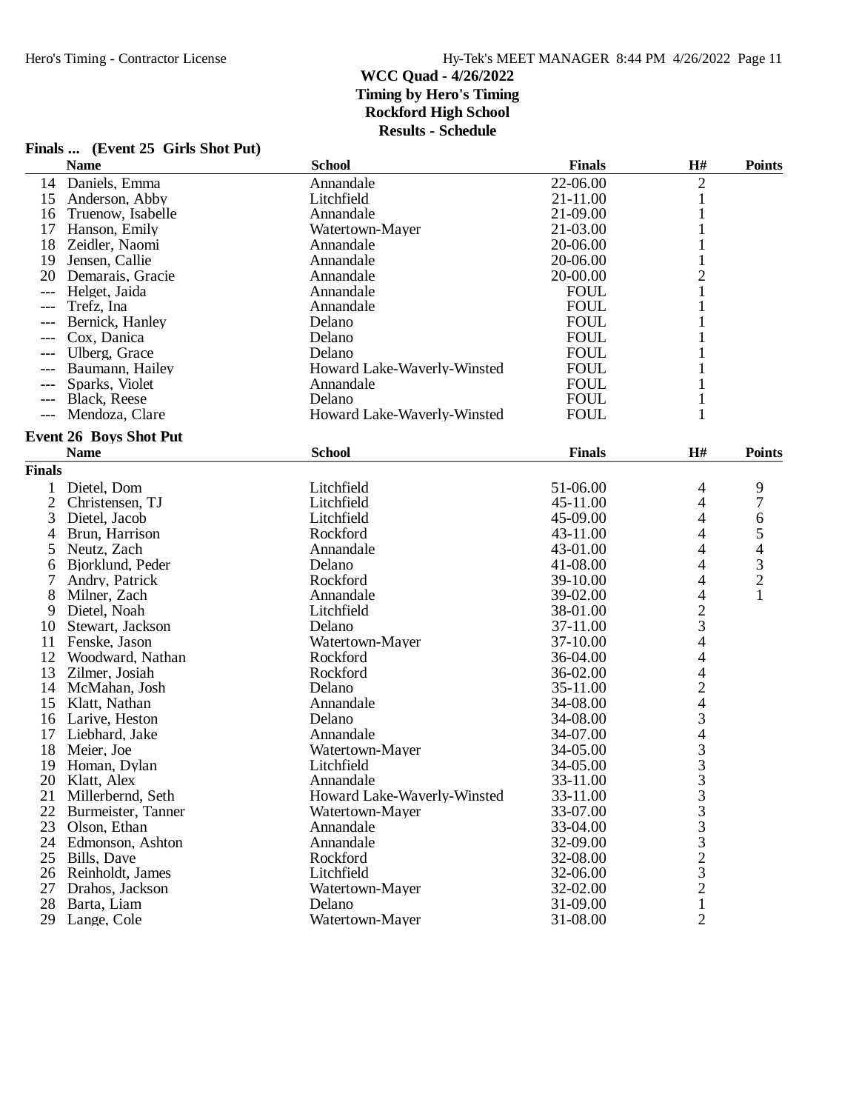|                | Finals  (Event 25 Girls Shot Put) |                             |               |                          |                |
|----------------|-----------------------------------|-----------------------------|---------------|--------------------------|----------------|
|                | <b>Name</b>                       | <b>School</b>               | <b>Finals</b> | H#                       | Points         |
| 14             | Daniels, Emma                     | Annandale                   | 22-06.00      | 2                        |                |
| 15             | Anderson, Abby                    | Litchfield                  | 21-11.00      | $\mathbf{1}$             |                |
| 16             | Truenow, Isabelle                 | Annandale                   | 21-09.00      | 1                        |                |
|                | 17 Hanson, Emily                  | Watertown-Mayer             | 21-03.00      | 1                        |                |
|                | 18 Zeidler, Naomi                 | Annandale                   | 20-06.00      |                          |                |
| 19             | Jensen, Callie                    | Annandale                   | 20-06.00      |                          |                |
|                | 20 Demarais, Gracie               | Annandale                   | 20-00.00      | 2                        |                |
| $---$          | Helget, Jaida                     | Annandale                   | <b>FOUL</b>   | 1                        |                |
|                | Trefz, Ina                        | Annandale                   | <b>FOUL</b>   |                          |                |
| $---$          | Bernick, Hanley                   | Delano                      | <b>FOUL</b>   |                          |                |
| $---$          | Cox, Danica                       | Delano                      | <b>FOUL</b>   |                          |                |
| $---$          | Ulberg, Grace                     | Delano                      | <b>FOUL</b>   |                          |                |
| $---$          | Baumann, Hailey                   | Howard Lake-Waverly-Winsted | <b>FOUL</b>   |                          |                |
|                | Sparks, Violet                    | Annandale                   | <b>FOUL</b>   | 1                        |                |
|                | <b>Black, Reese</b>               | Delano                      | <b>FOUL</b>   | 1                        |                |
| $---$          | Mendoza, Clare                    | Howard Lake-Waverly-Winsted | <b>FOUL</b>   | 1                        |                |
|                | <b>Event 26 Boys Shot Put</b>     |                             |               |                          |                |
|                | <b>Name</b>                       | <b>School</b>               | <b>Finals</b> | H#                       | <b>Points</b>  |
| <b>Finals</b>  |                                   |                             |               |                          |                |
| $\mathbf{1}$   | Dietel, Dom                       | Litchfield                  | 51-06.00      | 4                        | 9              |
| $\overline{2}$ | Christensen, TJ                   | Litchfield                  | 45-11.00      | 4                        | 7              |
| 3              | Dietel, Jacob                     | Litchfield                  | 45-09.00      | $\overline{\mathcal{L}}$ | 6              |
| 4              | Brun, Harrison                    | Rockford                    | 43-11.00      | 4                        | 5              |
| 5              | Neutz, Zach                       | Annandale                   | 43-01.00      | 4                        | 4              |
| 6              | Bjorklund, Peder                  | Delano                      | 41-08.00      | 4                        | 3              |
| 7              | Andry, Patrick                    | Rockford                    | 39-10.00      | 4                        | $\overline{c}$ |
| 8              | Milner, Zach                      | Annandale                   | 39-02.00      | 4                        | 1              |
| 9              | Dietel, Noah                      | Litchfield                  | 38-01.00      | $\overline{c}$           |                |
| 10             | Stewart, Jackson                  | Delano                      | 37-11.00      | 3                        |                |
| 11             | Fenske, Jason                     | Watertown-Mayer             | 37-10.00      | 4                        |                |
|                | 12 Woodward, Nathan               | Rockford                    | 36-04.00      | 4                        |                |
| 13             | Zilmer, Josiah                    | Rockford                    | 36-02.00      | 4                        |                |
| 14             | McMahan, Josh                     | Delano                      | 35-11.00      | $\overline{c}$           |                |
| 15             | Klatt, Nathan                     | Annandale                   | 34-08.00      | $\overline{\mathcal{L}}$ |                |
|                | 16 Larive, Heston                 | Delano                      | 34-08.00      | 3                        |                |
| 17             | Liebhard, Jake                    | Annandale                   | 34-07.00      | 4                        |                |
| 18             | Meier, Joe                        | Watertown-Mayer             | 34-05.00      | 3                        |                |
|                | 19 Homan, Dylan                   | Litchfield                  | 34-05.00      | 3                        |                |
|                | 20 Klatt, Alex                    | Annandale                   | 33-11.00      | 3                        |                |
| 21             | Millerbernd, Seth                 | Howard Lake-Waverly-Winsted | 33-11.00      | 3                        |                |
|                | 22 Burmeister, Tanner             | Watertown-Mayer             | 33-07.00      | 3                        |                |
|                | 23 Olson, Ethan                   | Annandale                   | 33-04.00      | 3                        |                |
|                | 24 Edmonson, Ashton               | Annandale                   | 32-09.00      | 3                        |                |
|                | 25 Bills, Dave                    | Rockford                    | 32-08.00      | $\overline{2}$           |                |
|                | 26 Reinholdt, James               | Litchfield                  | 32-06.00      | 3                        |                |
|                | 27 Drahos, Jackson                | Watertown-Mayer             | 32-02.00      | $\overline{2}$           |                |
|                | 28 Barta, Liam                    | Delano                      | 31-09.00      | 1                        |                |
|                | 29 Lange, Cole                    | Watertown-Mayer             | 31-08.00      | $\overline{2}$           |                |
|                |                                   |                             |               |                          |                |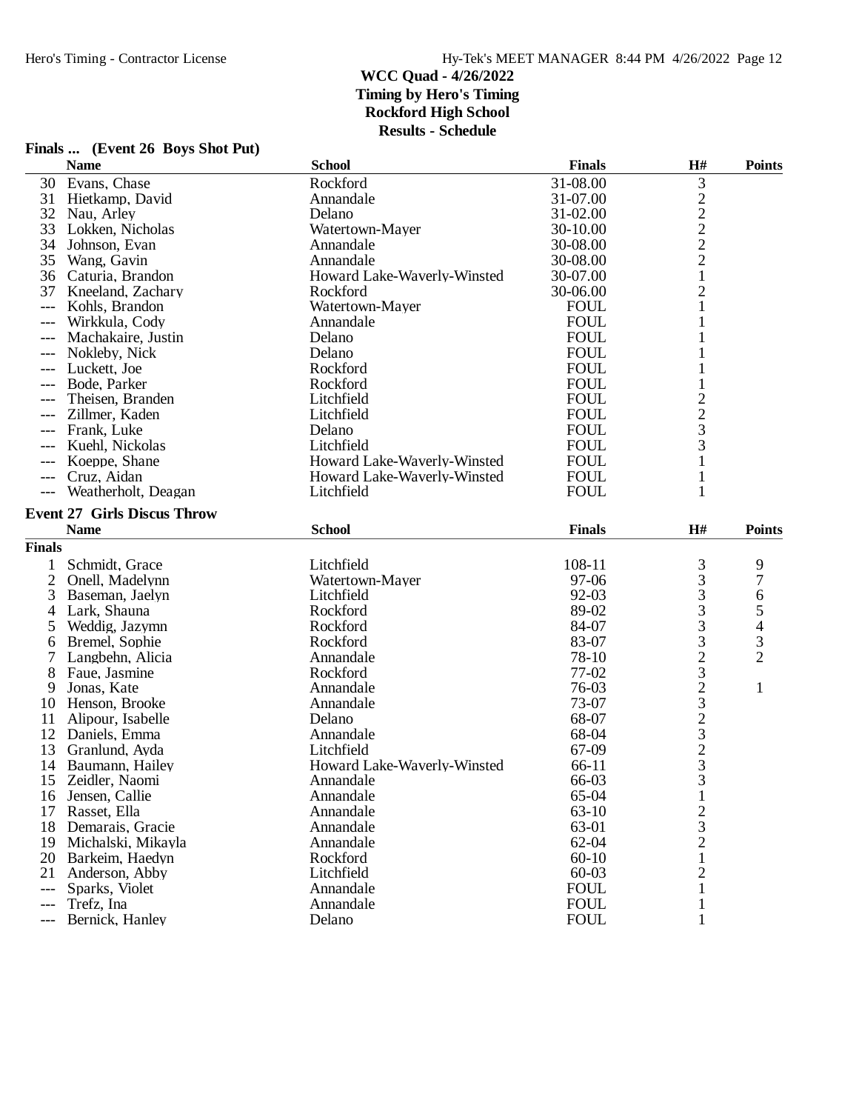|               | Finals  (Event 26 Boys Shot Put)   |                             |                |                     |                |
|---------------|------------------------------------|-----------------------------|----------------|---------------------|----------------|
|               | <b>Name</b>                        | <b>School</b>               | <b>Finals</b>  | H#                  | <b>Points</b>  |
| 30            | Evans, Chase                       | Rockford                    | 31-08.00       | 3                   |                |
| 31            | Hietkamp, David                    | Annandale                   | 31-07.00       | $\sqrt{2}$          |                |
| 32            | Nau, Arley                         | Delano                      | 31-02.00       | $\overline{2}$      |                |
| 33            | Lokken, Nicholas                   | Watertown-Mayer             | 30-10.00       | $\overline{c}$      |                |
| 34            | Johnson, Evan                      | Annandale                   | 30-08.00       | $\overline{c}$      |                |
| 35            | Wang, Gavin                        | Annandale                   | 30-08.00       | $\overline{2}$      |                |
| 36            | Caturia, Brandon                   | Howard Lake-Waverly-Winsted | 30-07.00       | $\mathbf{1}$        |                |
| 37            | Kneeland, Zachary                  | Rockford                    | 30-06.00       | $\overline{2}$      |                |
| ---           | Kohls, Brandon                     | Watertown-Mayer             | <b>FOUL</b>    | $\mathbf{1}$        |                |
| $---$         | Wirkkula, Cody                     | Annandale                   | <b>FOUL</b>    | 1                   |                |
| ---           | Machakaire, Justin                 | Delano                      | <b>FOUL</b>    |                     |                |
| ---           | Nokleby, Nick                      | Delano                      | <b>FOUL</b>    |                     |                |
| ---           | Luckett, Joe                       | Rockford                    | <b>FOUL</b>    | 1                   |                |
|               | Bode, Parker                       | Rockford                    | <b>FOUL</b>    |                     |                |
|               |                                    | Litchfield                  | <b>FOUL</b>    | 1<br>$\overline{c}$ |                |
|               | Theisen, Branden                   |                             |                |                     |                |
| ---           | Zillmer, Kaden                     | Litchfield                  | <b>FOUL</b>    | $\overline{c}$      |                |
|               | Frank, Luke                        | Delano                      | <b>FOUL</b>    | 3                   |                |
| ---           | Kuehl, Nickolas                    | Litchfield                  | <b>FOUL</b>    | 3                   |                |
| ---           | Koeppe, Shane                      | Howard Lake-Waverly-Winsted | <b>FOUL</b>    | 1                   |                |
| ---           | Cruz, Aidan                        | Howard Lake-Waverly-Winsted | <b>FOUL</b>    | 1                   |                |
|               | Weatherholt, Deagan                | Litchfield                  | <b>FOUL</b>    | 1                   |                |
|               | <b>Event 27 Girls Discus Throw</b> |                             |                |                     |                |
|               | <b>Name</b>                        | <b>School</b>               | <b>Finals</b>  | H#                  | <b>Points</b>  |
| <b>Finals</b> |                                    |                             |                |                     |                |
| 1             | Schmidt, Grace                     | Litchfield                  | 108-11         | 3                   | 9              |
| 2             | Onell, Madelynn                    | Watertown-Mayer             | 97-06          | 3                   | 7              |
| 3             | Baseman, Jaelyn                    | Litchfield                  | 92-03          | 3                   | 6              |
| 4             | Lark, Shauna                       | Rockford                    | 89-02          | 3                   | 5              |
| 5             | Weddig, Jazymn                     | Rockford                    | 84-07          | 3                   | 4              |
| 6             | Bremel, Sophie                     | Rockford                    | 83-07          | 3                   | 3              |
| 7             | Langbehn, Alicia                   | Annandale                   | 78-10          | $\overline{c}$      | $\overline{2}$ |
| 8             | Faue, Jasmine                      | Rockford                    | 77-02          | 3                   |                |
| 9             | Jonas, Kate                        | Annandale                   | 76-03          |                     | $\mathbf{1}$   |
| 10            | Henson, Brooke                     | Annandale                   | 73-07          | $\frac{2}{3}$       |                |
| 11            | Alipour, Isabelle                  | Delano                      | 68-07          | $\overline{c}$      |                |
| 12            | Daniels, Emma                      | Annandale                   | 68-04          | 3                   |                |
| 13            | Granlund, Ayda                     | Litchfield                  | 67-09          | $\overline{c}$      |                |
|               | 14 Baumann, Hailey                 | Howard Lake-Waverly-Winsted |                | 3                   |                |
|               |                                    |                             | 66-11<br>66-03 |                     |                |
| 15            | Zeidler, Naomi<br>Jensen, Callie   | Annandale                   | 65-04          | 3                   |                |
| 16            |                                    | Annandale                   |                |                     |                |
| 17            | Rasset, Ella                       | Annandale                   | $63 - 10$      | $\overline{c}$      |                |
| 18            | Demarais, Gracie                   | Annandale                   | 63-01          | 3                   |                |
| 19            | Michalski, Mikayla                 | Annandale                   | 62-04          | $\overline{c}$      |                |
| 20            | Barkeim, Haedyn                    | Rockford                    | $60-10$        |                     |                |
| 21            | Anderson, Abby                     | Litchfield                  | $60 - 03$      | 2                   |                |
| ---           | Sparks, Violet                     | Annandale                   | <b>FOUL</b>    | 1                   |                |
| ---           | Trefz, Ina                         | Annandale                   | <b>FOUL</b>    | 1                   |                |
| ---           | Bernick, Hanley                    | Delano                      | <b>FOUL</b>    | 1                   |                |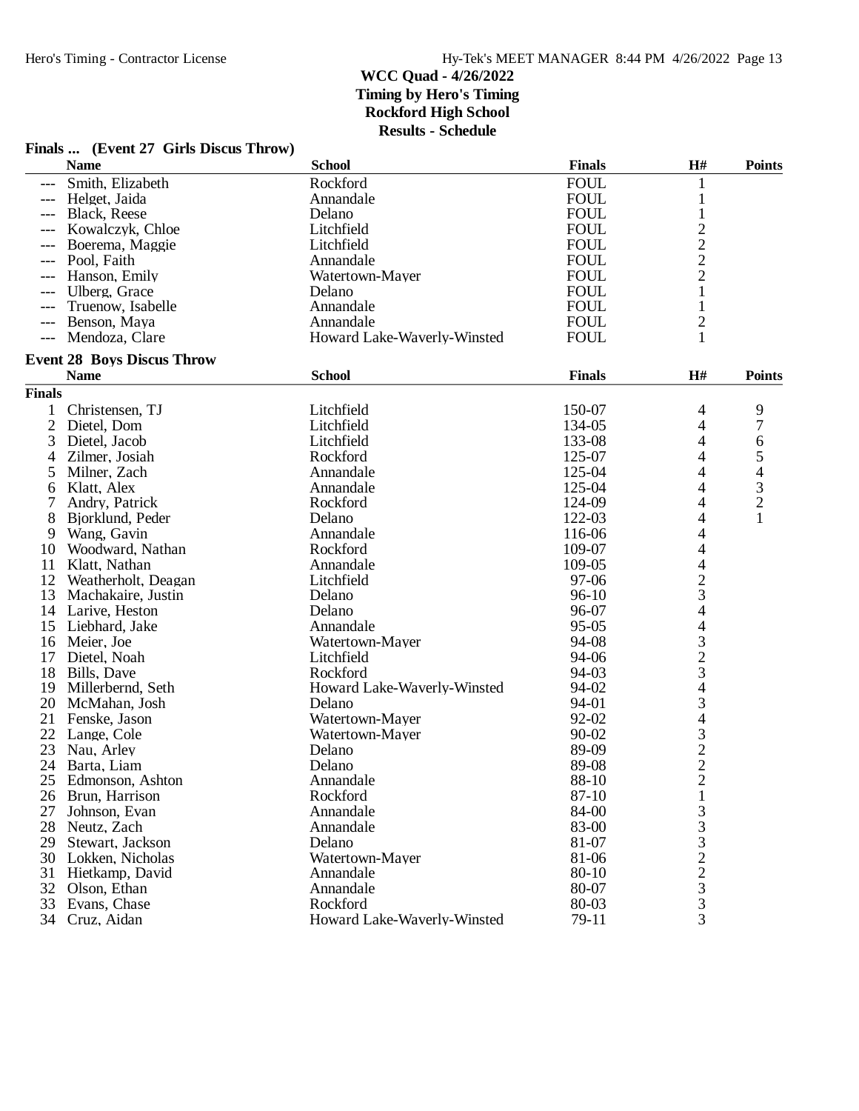## **Finals ... (Event 27 Girls Discus Throw)**

|                | <b>Name</b>                       | <b>School</b>               | <b>Finals</b> | $\mathbf{H}$ #                                  | <b>Points</b>  |
|----------------|-----------------------------------|-----------------------------|---------------|-------------------------------------------------|----------------|
|                | Smith, Elizabeth                  | Rockford                    | <b>FOUL</b>   | 1                                               |                |
| $---$          | Helget, Jaida                     | Annandale                   | <b>FOUL</b>   | $\mathbf{1}$                                    |                |
| $---$          | <b>Black, Reese</b>               | Delano                      | <b>FOUL</b>   | $\mathbf{1}$                                    |                |
|                | Kowalczyk, Chloe                  | Litchfield                  | <b>FOUL</b>   | $\overline{c}$                                  |                |
| ---            | Boerema, Maggie                   | Litchfield                  | <b>FOUL</b>   |                                                 |                |
| $---$          | Pool, Faith                       | Annandale                   | <b>FOUL</b>   | $\frac{2}{2}$                                   |                |
| $---$          | Hanson, Emily                     | Watertown-Mayer             | <b>FOUL</b>   |                                                 |                |
| $---$          | Ulberg, Grace                     | Delano                      | <b>FOUL</b>   | $\mathbf{1}$                                    |                |
| $---$          | Truenow, Isabelle                 | Annandale                   | <b>FOUL</b>   | 1                                               |                |
| $---$          | Benson, Maya                      | Annandale                   | <b>FOUL</b>   | $\overline{c}$                                  |                |
| $---$          | Mendoza, Clare                    | Howard Lake-Waverly-Winsted | <b>FOUL</b>   | 1                                               |                |
|                | <b>Event 28 Boys Discus Throw</b> |                             |               |                                                 |                |
|                | <b>Name</b>                       | <b>School</b>               | <b>Finals</b> | H#                                              | <b>Points</b>  |
| <b>Finals</b>  |                                   |                             |               |                                                 |                |
| 1              | Christensen, TJ                   | Litchfield                  | 150-07        | 4                                               | 9              |
| $\overline{2}$ | Dietel, Dom                       | Litchfield                  | 134-05        | 4                                               | 7              |
| 3              |                                   | Litchfield                  | 133-08        |                                                 |                |
|                | Dietel, Jacob<br>Zilmer, Josiah   | Rockford                    | 125-07        | 4<br>4                                          | 6<br>5         |
| 4              |                                   | Annandale                   | 125-04        | 4                                               |                |
| 5              | Milner, Zach                      | Annandale                   |               | 4                                               | 4              |
| 6              | Klatt, Alex                       |                             | 125-04        |                                                 | 3              |
| 7              | Andry, Patrick                    | Rockford                    | 124-09        | 4                                               | $\overline{c}$ |
| 8              | Bjorklund, Peder                  | Delano                      | 122-03        | 4                                               | $\mathbf{1}$   |
| 9              | Wang, Gavin                       | Annandale                   | 116-06        | $\overline{\mathcal{L}}$                        |                |
| 10             | Woodward, Nathan                  | Rockford                    | 109-07        | 4                                               |                |
| 11             | Klatt, Nathan                     | Annandale                   | 109-05        | 4                                               |                |
| 12             | Weatherholt, Deagan               | Litchfield                  | 97-06         | $\frac{2}{3}$                                   |                |
| 13             | Machakaire, Justin                | Delano                      | $96-10$       |                                                 |                |
| 14             | Larive, Heston                    | Delano                      | 96-07         | $\overline{\mathcal{L}}$                        |                |
| 15             | Liebhard, Jake                    | Annandale                   | $95 - 05$     |                                                 |                |
| 16             | Meier, Joe                        | Watertown-Mayer             | 94-08         | $\begin{array}{c} 4 \\ 3 \\ 2 \\ 3 \end{array}$ |                |
| 17             | Dietel, Noah                      | Litchfield                  | 94-06         |                                                 |                |
| 18             | Bills, Dave                       | Rockford                    | 94-03         |                                                 |                |
| 19             | Millerbernd, Seth                 | Howard Lake-Waverly-Winsted | 94-02         | $\overline{\mathcal{L}}$                        |                |
| 20             | McMahan, Josh                     | Delano                      | 94-01         | $\frac{3}{4}$                                   |                |
| 21             | Fenske, Jason                     | Watertown-Mayer             | 92-02         |                                                 |                |
| 22             | Lange, Cole                       | Watertown-Mayer             | $90 - 02$     | $\begin{array}{c} 3 \\ 2 \\ 2 \end{array}$      |                |
| 23             | Nau, Arley                        | Delano                      | 89-09         |                                                 |                |
| 24             | Barta, Liam                       | Delano                      | 89-08         |                                                 |                |
| 25             | Edmonson, Ashton                  | Annandale                   | 88-10         | $\overline{2}$                                  |                |
| 26             | Brun, Harrison                    | Rockford                    | 87-10         | $\mathbf{1}$                                    |                |
| 27             | Johnson, Evan                     | Annandale                   | 84-00         |                                                 |                |
| 28             | Neutz, Zach                       | Annandale                   | 83-00         |                                                 |                |
| 29             | Stewart, Jackson                  | Delano                      | 81-07         |                                                 |                |
| 30             | Lokken, Nicholas                  | Watertown-Mayer             | 81-06         | 3332233                                         |                |
| 31             | Hietkamp, David                   | Annandale                   | 80-10         |                                                 |                |
| 32             | Olson, Ethan                      | Annandale                   | 80-07         |                                                 |                |
| 33             | Evans, Chase                      | Rockford                    | 80-03         |                                                 |                |
|                | 34 Cruz, Aidan                    | Howard Lake-Waverly-Winsted | 79-11         |                                                 |                |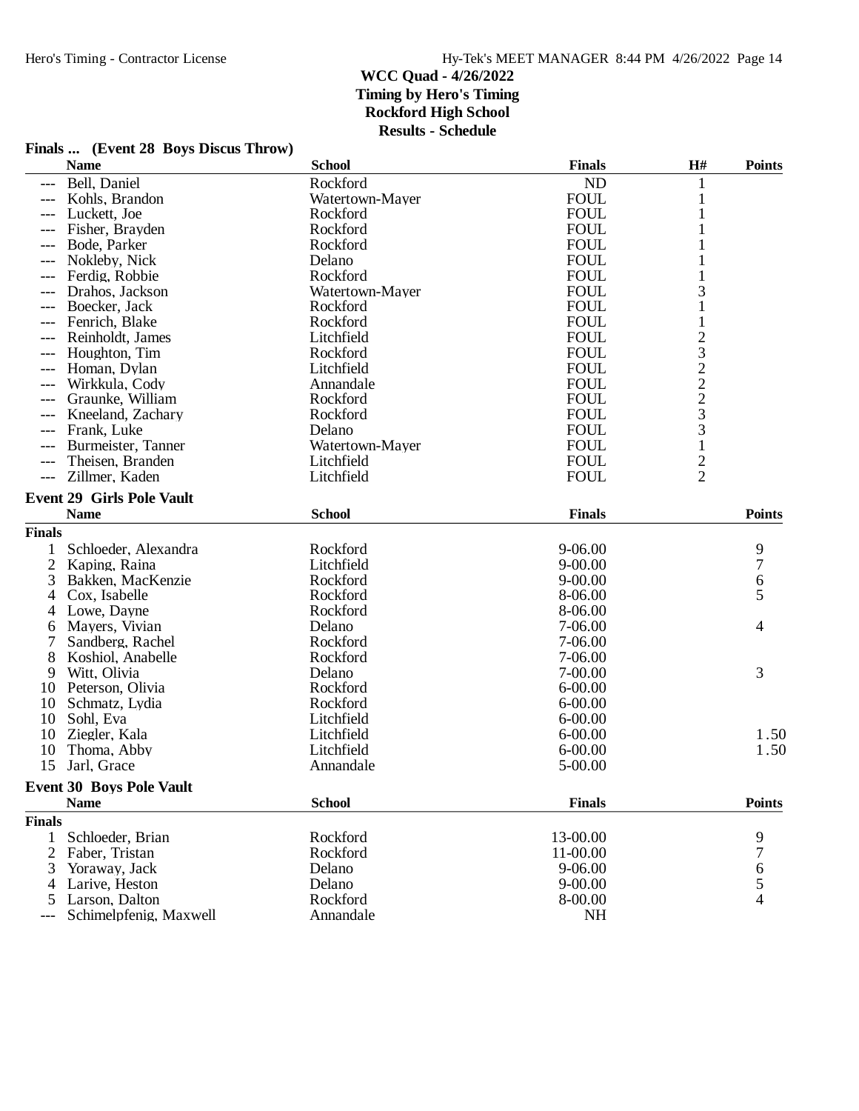|               | <b>Name</b>                                    | <b>School</b>   | <b>Finals</b> | H#             | <b>Points</b>  |
|---------------|------------------------------------------------|-----------------|---------------|----------------|----------------|
| $---$         | Bell, Daniel                                   | Rockford        | ND            |                |                |
|               | Kohls, Brandon                                 | Watertown-Mayer | <b>FOUL</b>   |                |                |
|               | Luckett, Joe                                   | Rockford        | <b>FOUL</b>   |                |                |
|               | Fisher, Brayden                                | Rockford        | <b>FOUL</b>   |                |                |
|               | Bode, Parker                                   | Rockford        | <b>FOUL</b>   |                |                |
|               | Nokleby, Nick                                  | Delano          | <b>FOUL</b>   |                |                |
|               | Ferdig, Robbie                                 | Rockford        | <b>FOUL</b>   |                |                |
|               | Drahos, Jackson                                | Watertown-Mayer | <b>FOUL</b>   | 3              |                |
|               | Boecker, Jack                                  | Rockford        | <b>FOUL</b>   |                |                |
|               | Fenrich, Blake                                 | Rockford        | <b>FOUL</b>   | 1              |                |
|               | Reinholdt, James                               | Litchfield      | <b>FOUL</b>   | $\overline{c}$ |                |
| ---           | Houghton, Tim                                  | Rockford        | <b>FOUL</b>   |                |                |
| $---$         | Homan, Dylan                                   | Litchfield      | <b>FOUL</b>   |                |                |
|               | Wirkkula, Cody                                 | Annandale       | <b>FOUL</b>   | $\frac{3}{2}$  |                |
| $---$         | Graunke, William                               | Rockford        | <b>FOUL</b>   | $\overline{c}$ |                |
|               | Kneeland, Zachary                              | Rockford        | <b>FOUL</b>   | 3              |                |
|               | Frank, Luke                                    | Delano          | <b>FOUL</b>   | 3              |                |
|               | Burmeister, Tanner                             | Watertown-Mayer | <b>FOUL</b>   | $\mathbf{1}$   |                |
|               | Theisen, Branden                               | Litchfield      | <b>FOUL</b>   |                |                |
| $---$         | Zillmer, Kaden                                 | Litchfield      | <b>FOUL</b>   | $\frac{2}{2}$  |                |
|               | <b>Event 29 Girls Pole Vault</b>               |                 |               |                |                |
|               | <b>Name</b>                                    | <b>School</b>   | <b>Finals</b> |                | <b>Points</b>  |
| <b>Finals</b> |                                                |                 |               |                |                |
| 1             | Schloeder, Alexandra                           | Rockford        | 9-06.00       |                | 9              |
| 2             | Kaping, Raina                                  | Litchfield      | $9 - 00.00$   |                | $\overline{7}$ |
| 3             | Bakken, MacKenzie                              | Rockford        | $9 - 00.00$   |                | 6              |
| 4             | Cox, Isabelle                                  | Rockford        | 8-06.00       |                | 5              |
| 4             | Lowe, Dayne                                    | Rockford        | 8-06.00       |                |                |
| 6             | Mayers, Vivian                                 | Delano          | 7-06.00       |                | 4              |
| 7             | Sandberg, Rachel                               | Rockford        | 7-06.00       |                |                |
| 8             | Koshiol, Anabelle                              | Rockford        | 7-06.00       |                |                |
| 9             | Witt, Olivia                                   | Delano          | 7-00.00       |                | 3              |
| 10            | Peterson, Olivia                               | Rockford        | $6 - 00.00$   |                |                |
| 10            | Schmatz, Lydia                                 | Rockford        | $6 - 00.00$   |                |                |
| 10            | Sohl, Eva                                      | Litchfield      | $6 - 00.00$   |                |                |
| 10            | Ziegler, Kala                                  | Litchfield      | $6 - 00.00$   |                | 1.50           |
| 10            | Thoma, Abby                                    | Litchfield      | $6 - 00.00$   |                | 1.50           |
| 15            | Jarl, Grace                                    | Annandale       | 5-00.00       |                |                |
|               |                                                |                 |               |                |                |
|               | <b>Event 30 Boys Pole Vault</b><br><b>Name</b> | <b>School</b>   | <b>Finals</b> |                | <b>Points</b>  |
| <b>Finals</b> |                                                |                 |               |                |                |
|               |                                                |                 |               |                |                |
| 1             | Schloeder, Brian                               | Rockford        | 13-00.00      |                | 9<br>7         |
| 2             | Faber, Tristan                                 | Rockford        | 11-00.00      |                |                |
| 3             | Yoraway, Jack                                  | Delano          | $9 - 06.00$   |                | 6              |
|               | 4 Larive, Heston                               | Delano          | $9 - 00.00$   |                | 5              |
|               | 5 Larson, Dalton                               | Rockford        | 8-00.00       |                | 4              |
| $---$         | Schimelpfenig, Maxwell                         | Annandale       | <b>NH</b>     |                |                |

#### **Finals ... (Event 28 Boys Discus Throw)**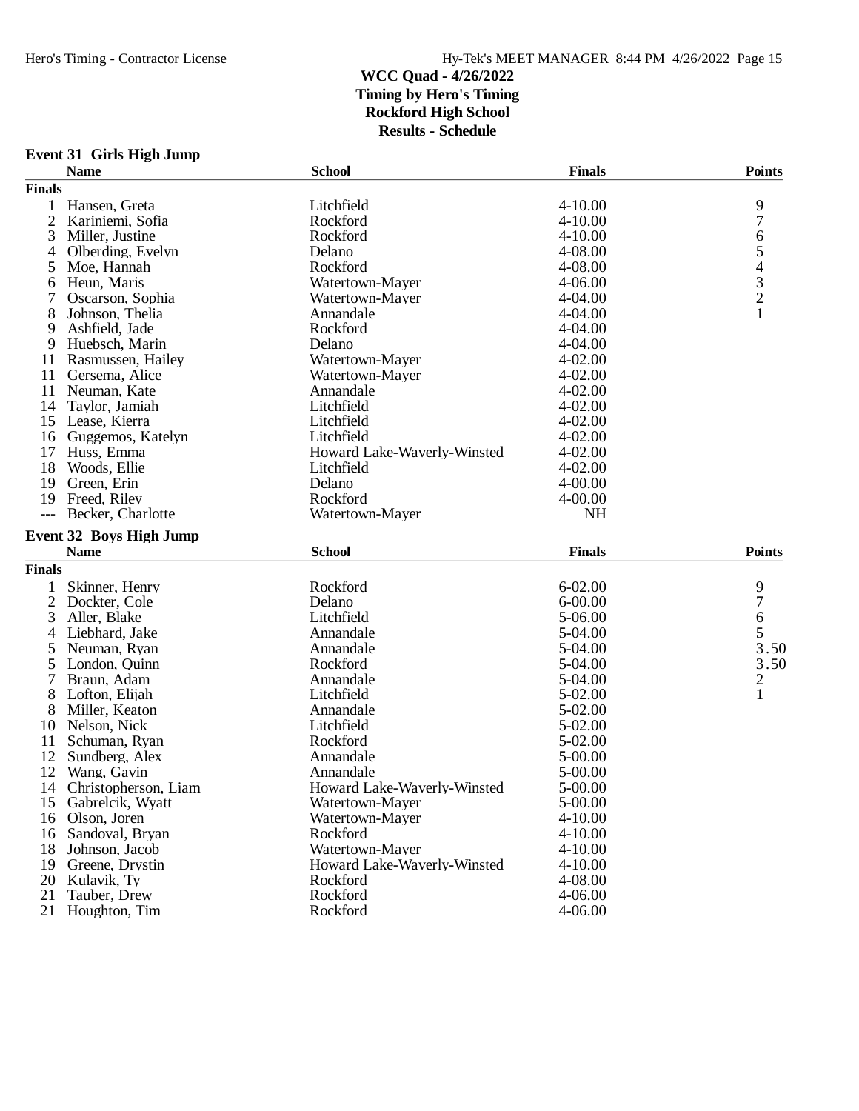## **Event 31 Girls High Jump**

|                | <b>Name</b>                            | <b>School</b>               | <b>Finals</b>      | <b>Points</b>  |
|----------------|----------------------------------------|-----------------------------|--------------------|----------------|
| <b>Finals</b>  |                                        |                             |                    |                |
| 1              | Hansen, Greta                          | Litchfield                  | 4-10.00            | 9              |
| $\overline{2}$ | Kariniemi, Sofia                       | Rockford                    | 4-10.00            | $\overline{7}$ |
| 3              | Miller, Justine                        | Rockford                    | $4 - 10.00$        | 6              |
| 4              | Olberding, Evelyn                      | Delano                      | 4-08.00            | 5              |
| 5              | Moe, Hannah                            | Rockford                    | 4-08.00            | $\overline{4}$ |
| 6              | Heun, Maris                            | Watertown-Mayer             | 4-06.00            |                |
|                | Oscarson, Sophia                       | Watertown-Mayer             | 4-04.00            | $\frac{3}{2}$  |
| 8              | Johnson, Thelia                        | Annandale                   | 4-04.00            | 1              |
| 9              | Ashfield, Jade                         | Rockford                    | $4 - 04.00$        |                |
| 9              | Huebsch, Marin                         | Delano                      | $4 - 04.00$        |                |
| 11             | Rasmussen, Hailey                      | Watertown-Mayer             | 4-02.00            |                |
| 11             | Gersema, Alice                         | Watertown-Mayer             | 4-02.00            |                |
| 11             | Neuman, Kate                           | Annandale                   | 4-02.00            |                |
| 14             | Taylor, Jamiah                         | Litchfield                  | 4-02.00            |                |
| 15             | Lease, Kierra                          | Litchfield                  | 4-02.00            |                |
| 16             | Guggemos, Katelyn                      | Litchfield                  | 4-02.00            |                |
| 17             | Huss, Emma                             | Howard Lake-Waverly-Winsted | 4-02.00            |                |
| 18             | Woods, Ellie                           | Litchfield                  | 4-02.00            |                |
| 19             | Green, Erin                            | Delano                      | 4-00.00            |                |
| 19             | Freed, Riley                           | Rockford                    | 4-00.00            |                |
| $---$          | Becker, Charlotte                      | Watertown-Mayer             | <b>NH</b>          |                |
|                |                                        |                             |                    |                |
|                | Event 32 Boys High Jump<br><b>Name</b> | <b>School</b>               | <b>Finals</b>      | <b>Points</b>  |
|                |                                        |                             |                    |                |
| <b>Finals</b>  |                                        |                             |                    |                |
|                | Skinner, Henry                         | Rockford                    | $6 - 02.00$        | 9              |
| $\mathbf{2}$   | Dockter, Cole                          | Delano                      | $6 - 00.00$        | $\overline{7}$ |
| 3              | Aller, Blake                           | Litchfield                  | 5-06.00            | 6              |
| 4              | Liebhard, Jake                         | Annandale                   | 5-04.00            | 5              |
| 5              | Neuman, Ryan                           | Annandale                   | 5-04.00            | 3.50           |
| 5              | London, Quinn                          | Rockford                    | 5-04.00            | 3.50           |
|                | Braun, Adam                            | Annandale                   | 5-04.00            | $\frac{2}{1}$  |
| 8              |                                        |                             |                    |                |
| 8              | Lofton, Elijah                         | Litchfield                  | 5-02.00            |                |
|                | Miller, Keaton                         | Annandale                   | 5-02.00            |                |
| 10             | Nelson, Nick                           | Litchfield                  | 5-02.00            |                |
| 11             | Schuman, Ryan                          | Rockford                    | 5-02.00            |                |
| 12             | Sundberg, Alex                         | Annandale                   | 5-00.00            |                |
| 12             | Wang, Gavin                            | Annandale                   | 5-00.00            |                |
| 14             | Christopherson, Liam                   | Howard Lake-Waverly-Winsted | $5 - 00.00$        |                |
| 15             | Gabrelcik, Wyatt                       | Watertown-Mayer             | 5-00.00            |                |
| 16             | Olson, Joren                           | Watertown-Mayer             | 4-10.00            |                |
| 16             | Sandoval, Bryan                        | Rockford                    | $4 - 10.00$        |                |
| 18             | Johnson, Jacob                         | Watertown-Mayer             | 4-10.00            |                |
| 19             | Greene, Drystin                        | Howard Lake-Waverly-Winsted | $4 - 10.00$        |                |
| 20             | Kulavik, Ty                            | Rockford                    | 4-08.00            |                |
| 21<br>21       | Tauber, Drew<br>Houghton, Tim          | Rockford<br>Rockford        | 4-06.00<br>4-06.00 |                |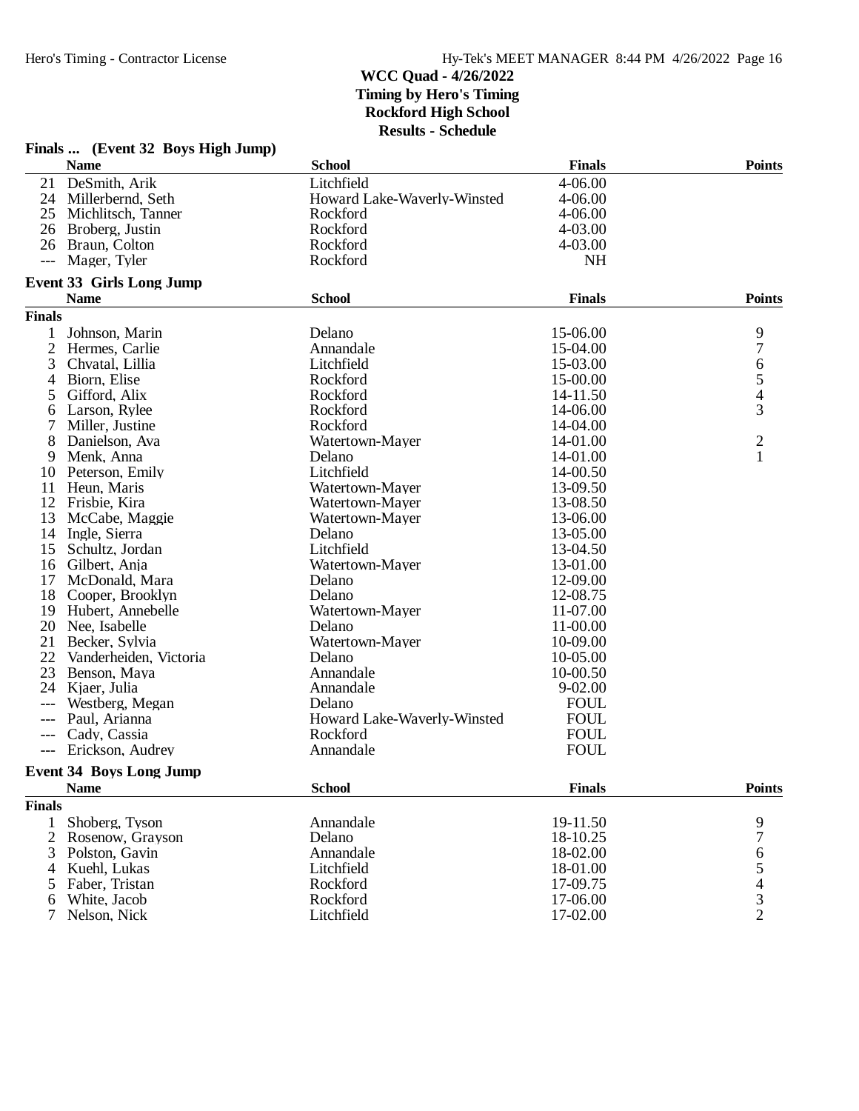|                | Finals  (Event 32 Boys High Jump) |                             |               |                          |
|----------------|-----------------------------------|-----------------------------|---------------|--------------------------|
|                | <b>Name</b>                       | <b>School</b>               | <b>Finals</b> | <b>Points</b>            |
| 21             | DeSmith, Arik                     | Litchfield                  | 4-06.00       |                          |
|                | 24 Millerbernd, Seth              | Howard Lake-Waverly-Winsted | 4-06.00       |                          |
|                | 25 Michlitsch, Tanner             | Rockford                    | $4 - 06.00$   |                          |
|                | 26 Broberg, Justin                | Rockford                    | 4-03.00       |                          |
|                | 26 Braun, Colton                  | Rockford                    | 4-03.00       |                          |
| ---            | Mager, Tyler                      | Rockford                    | <b>NH</b>     |                          |
|                | Event 33 Girls Long Jump          |                             |               |                          |
|                | <b>Name</b>                       | <b>School</b>               | <b>Finals</b> | <b>Points</b>            |
| <b>Finals</b>  |                                   |                             |               |                          |
| 1              | Johnson, Marin                    | Delano                      | 15-06.00      | 9                        |
| $\overline{2}$ | Hermes, Carlie                    | Annandale                   | 15-04.00      | 7                        |
| 3              | Chvatal, Lillia                   | Litchfield                  | 15-03.00      | 6                        |
| 4              | Biorn, Elise                      | Rockford                    | 15-00.00      | 5                        |
| 5              | Gifford, Alix                     | Rockford                    | 14-11.50      | $\overline{4}$           |
| 6              | Larson, Rylee                     | Rockford                    | 14-06.00      | 3                        |
| 7              | Miller, Justine                   | Rockford                    | 14-04.00      |                          |
| 8              | Danielson, Ava                    | Watertown-Mayer             | 14-01.00      | $\overline{c}$           |
| 9              | Menk, Anna                        | Delano                      | 14-01.00      | $\mathbf{1}$             |
| 10             | Peterson, Emily                   | Litchfield                  | 14-00.50      |                          |
| 11             | Heun, Maris                       | Watertown-Mayer             | 13-09.50      |                          |
| 12             | Frisbie, Kira                     | Watertown-Mayer             | 13-08.50      |                          |
| 13             | McCabe, Maggie                    | Watertown-Mayer             | 13-06.00      |                          |
|                | 14 Ingle, Sierra                  | Delano                      | 13-05.00      |                          |
| 15             | Schultz, Jordan                   | Litchfield                  | 13-04.50      |                          |
| 16             | Gilbert, Anja                     | Watertown-Mayer             | 13-01.00      |                          |
| 17             | McDonald, Mara                    | Delano                      | 12-09.00      |                          |
| 18             | Cooper, Brooklyn                  | Delano                      | 12-08.75      |                          |
| 19             | Hubert, Annebelle                 | Watertown-Mayer             | 11-07.00      |                          |
|                | 20 Nee, Isabelle                  | Delano                      | 11-00.00      |                          |
| 21             | Becker, Sylvia                    | Watertown-Mayer             | 10-09.00      |                          |
| 22             | Vanderheiden, Victoria            | Delano                      | 10-05.00      |                          |
| 23             | Benson, Maya                      | Annandale                   | 10-00.50      |                          |
| 24             | Kjaer, Julia                      | Annandale                   | $9 - 02.00$   |                          |
| ---            | Westberg, Megan                   | Delano                      | <b>FOUL</b>   |                          |
| ---            | Paul, Arianna                     | Howard Lake-Waverly-Winsted | <b>FOUL</b>   |                          |
| ---            | Cady, Cassia                      | Rockford                    | <b>FOUL</b>   |                          |
| $---$          | Erickson, Audrey                  | Annandale                   | <b>FOUL</b>   |                          |
|                | <b>Event 34 Boys Long Jump</b>    |                             |               |                          |
|                | <b>Name</b>                       | <b>School</b>               | <b>Finals</b> | <b>Points</b>            |
| <b>Finals</b>  |                                   |                             |               |                          |
| 1              | Shoberg, Tyson                    | Annandale                   | 19-11.50      | 9                        |
|                | 2 Rosenow, Grayson                | Delano                      | 18-10.25      | 7                        |
| 3              | Polston, Gavin                    | Annandale                   | 18-02.00      | 6                        |
| 4              | Kuehl, Lukas                      | Litchfield                  | 18-01.00      | 5                        |
| 5              | Faber, Tristan                    | Rockford                    | 17-09.75      | $\overline{\mathcal{L}}$ |
| 6              | White, Jacob                      | Rockford                    | 17-06.00      | 3                        |
| $\tau$         | Nelson, Nick                      | Litchfield                  | 17-02.00      | $\overline{2}$           |
|                |                                   |                             |               |                          |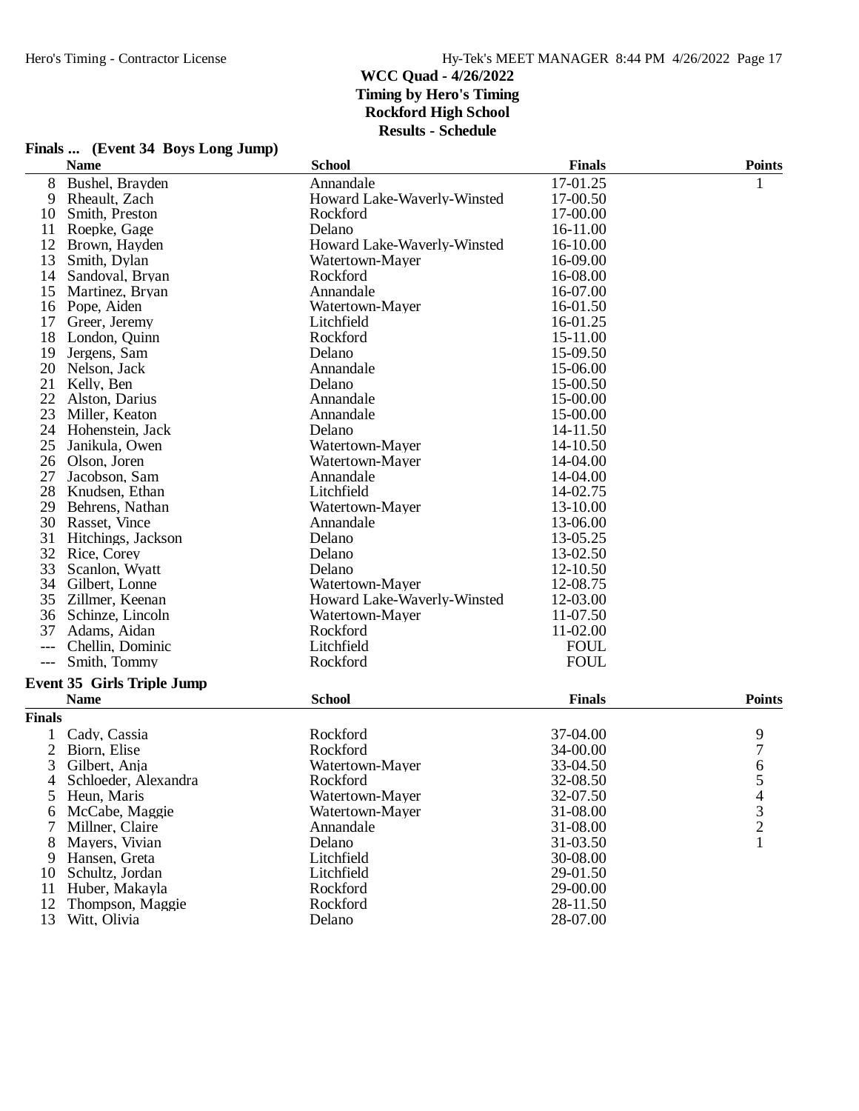|                | Finals  (Event 34 Boys Long Jump) |                             |               |                          |
|----------------|-----------------------------------|-----------------------------|---------------|--------------------------|
|                | <b>Name</b>                       | <b>School</b>               | <b>Finals</b> | <b>Points</b>            |
| 8              | Bushel, Brayden                   | Annandale                   | 17-01.25      | 1                        |
| 9              | Rheault, Zach                     | Howard Lake-Waverly-Winsted | 17-00.50      |                          |
| 10             | Smith, Preston                    | Rockford                    | 17-00.00      |                          |
| 11             | Roepke, Gage                      | Delano                      | 16-11.00      |                          |
| 12             | Brown, Hayden                     | Howard Lake-Waverly-Winsted | 16-10.00      |                          |
| 13             | Smith, Dylan                      | Watertown-Mayer             | 16-09.00      |                          |
| 14             | Sandoval, Bryan                   | Rockford                    | 16-08.00      |                          |
| 15             | Martinez, Bryan                   | Annandale                   | 16-07.00      |                          |
|                | 16 Pope, Aiden                    | Watertown-Mayer             | 16-01.50      |                          |
|                | 17 Greer, Jeremy                  | Litchfield                  | 16-01.25      |                          |
| 18             | London, Quinn                     | Rockford                    | 15-11.00      |                          |
| 19             | Jergens, Sam                      | Delano                      | 15-09.50      |                          |
|                | 20 Nelson, Jack                   | Annandale                   | 15-06.00      |                          |
| 21             | Kelly, Ben                        | Delano                      | 15-00.50      |                          |
| 22             | Alston, Darius                    | Annandale                   | 15-00.00      |                          |
| 23             | Miller, Keaton                    | Annandale                   | 15-00.00      |                          |
|                | 24 Hohenstein, Jack               | Delano                      | 14-11.50      |                          |
| 25             | Janikula, Owen                    | Watertown-Mayer             | 14-10.50      |                          |
|                | 26 Olson, Joren                   | Watertown-Mayer             | 14-04.00      |                          |
| 27             | Jacobson, Sam                     | Annandale                   | 14-04.00      |                          |
|                | 28 Knudsen, Ethan                 | Litchfield                  | 14-02.75      |                          |
|                | 29 Behrens, Nathan                | Watertown-Mayer             | 13-10.00      |                          |
|                | 30 Rasset, Vince                  | Annandale                   | 13-06.00      |                          |
| 31             | Hitchings, Jackson                | Delano                      | 13-05.25      |                          |
|                | 32 Rice, Corey                    | Delano                      | 13-02.50      |                          |
| 33             | Scanlon, Wyatt                    | Delano                      | 12-10.50      |                          |
|                | 34 Gilbert, Lonne                 | Watertown-Mayer             | 12-08.75      |                          |
|                | 35 Zillmer, Keenan                | Howard Lake-Waverly-Winsted | 12-03.00      |                          |
|                | 36 Schinze, Lincoln               | Watertown-Mayer             | 11-07.50      |                          |
| 37             | Adams, Aidan                      | Rockford                    | 11-02.00      |                          |
| ---            | Chellin, Dominic                  | Litchfield                  | <b>FOUL</b>   |                          |
| $---$          | Smith, Tommy                      | Rockford                    | <b>FOUL</b>   |                          |
|                |                                   |                             |               |                          |
|                | <b>Event 35 Girls Triple Jump</b> |                             |               |                          |
|                | <b>Name</b>                       | <b>School</b>               | <b>Finals</b> | <b>Points</b>            |
| <b>Finals</b>  |                                   |                             |               |                          |
| $\mathbf{1}$   | Cady, Cassia                      | Rockford                    | 37-04.00      | 9                        |
| 2              | Biorn, Elise                      | Rockford                    | 34-00.00      | 7                        |
| 3 <sup>1</sup> | Gilbert, Anja                     | Watertown-Mayer             | 33-04.50      | 6                        |
|                | Schloeder, Alexandra              | Rockford                    | 32-08.50      | 5                        |
| 5              | Heun, Maris                       | Watertown-Mayer             | 32-07.50      | $\overline{\mathcal{L}}$ |
| 6              | McCabe, Maggie                    | Watertown-Mayer             | 31-08.00      | 3                        |
|                | Millner, Claire                   | Annandale                   | 31-08.00      | $\overline{c}$           |
| 8              | Mayers, Vivian                    | Delano                      | 31-03.50      |                          |
| 9              | Hansen, Greta                     | Litchfield                  | 30-08.00      |                          |
| 10             | Schultz, Jordan                   | Litchfield                  | 29-01.50      |                          |
| 11             | Huber, Makayla                    | Rockford                    | 29-00.00      |                          |
| 12             | Thompson, Maggie                  | Rockford                    | 28-11.50      |                          |
| 13             | Witt, Olivia                      | Delano                      | 28-07.00      |                          |